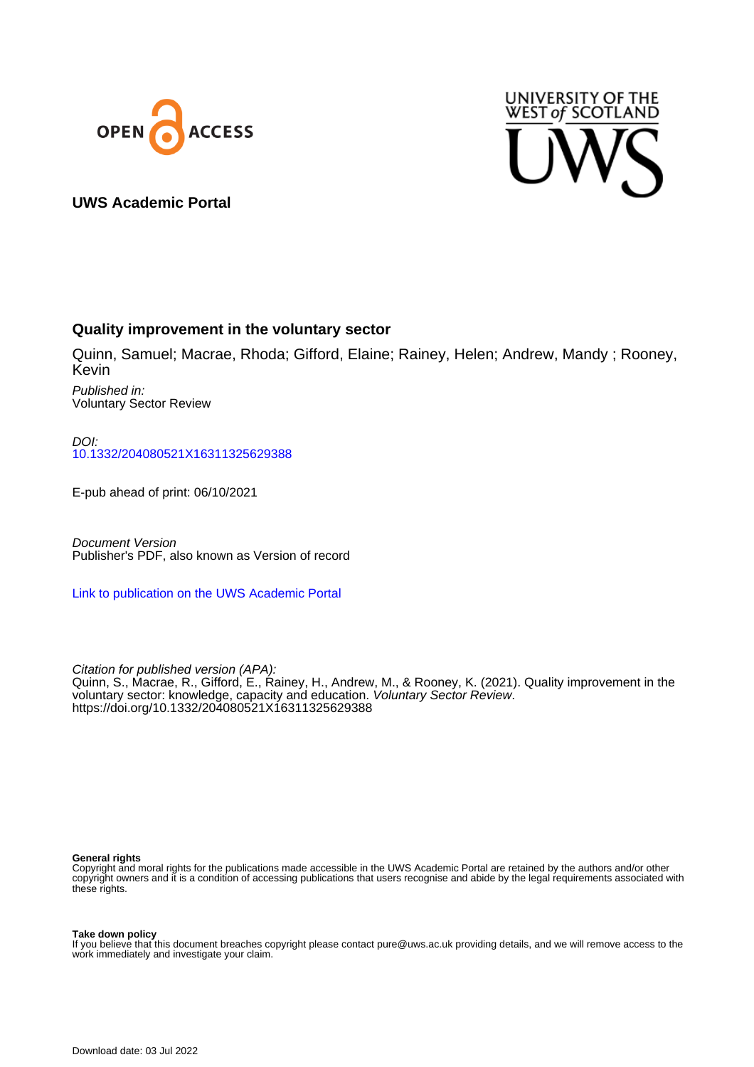



# **UWS Academic Portal**

# **Quality improvement in the voluntary sector**

Quinn, Samuel; Macrae, Rhoda; Gifford, Elaine; Rainey, Helen; Andrew, Mandy ; Rooney, Kevin

Published in: Voluntary Sector Review

DOI: [10.1332/204080521X16311325629388](https://doi.org/10.1332/204080521X16311325629388)

E-pub ahead of print: 06/10/2021

Document Version Publisher's PDF, also known as Version of record

[Link to publication on the UWS Academic Portal](https://uws.pure.elsevier.com/en/publications/0a169333-530b-4141-899e-a79c392267b8)

Citation for published version (APA): Quinn, S., Macrae, R., Gifford, E., Rainey, H., Andrew, M., & Rooney, K. (2021). Quality improvement in the voluntary sector: knowledge, capacity and education. Voluntary Sector Review. <https://doi.org/10.1332/204080521X16311325629388>

#### **General rights**

Copyright and moral rights for the publications made accessible in the UWS Academic Portal are retained by the authors and/or other copyright owners and it is a condition of accessing publications that users recognise and abide by the legal requirements associated with these rights.

#### **Take down policy**

If you believe that this document breaches copyright please contact pure@uws.ac.uk providing details, and we will remove access to the work immediately and investigate your claim.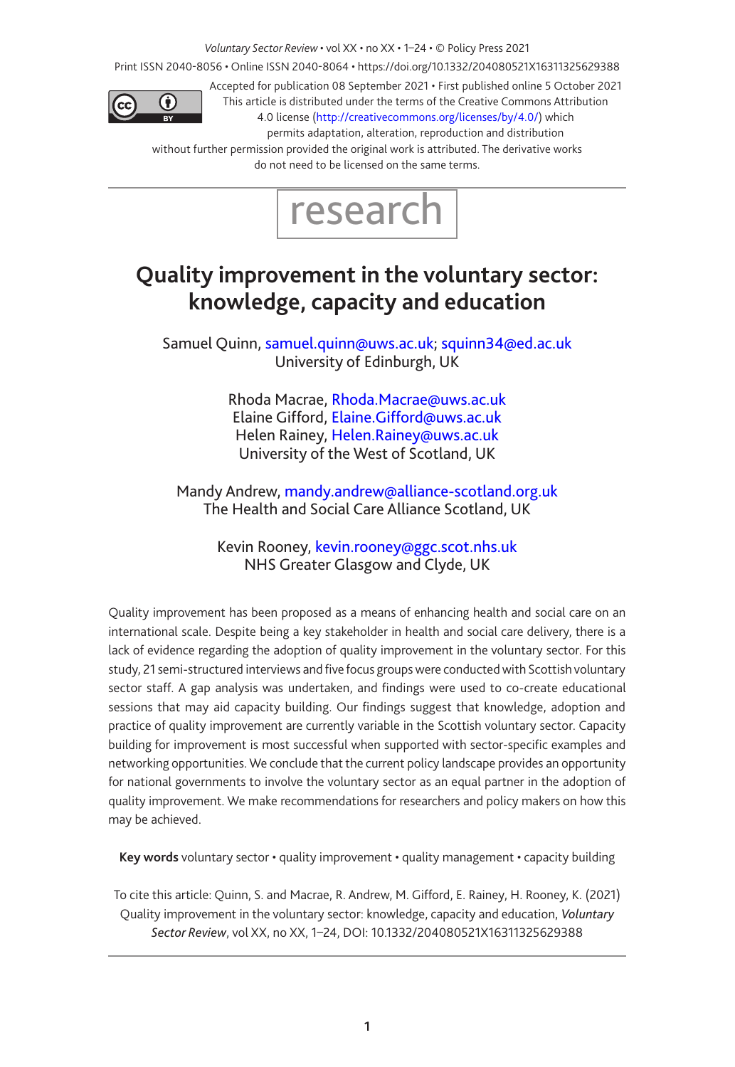*Voluntary Sector Review* • vol XX • no XX • 1–24 • © Policy Press 2021

Print ISSN 2040-8056 • Online ISSN 2040-8064 • https://doi.org/10.1332/204080521X16311325629388



Accepted for publication 08 September 2021 • First published online 5 October 2021 This article is distributed under the terms of the Creative Commons Attribution 4.0 license [\(http://creativecommons.org/licenses/by/4.0/\)](http://creativecommons.org/licenses/by/4.0/) which

permits adaptation, alteration, reproduction and distribution

without further permission provided the original work is attributed. The derivative works do not need to be licensed on the same terms.



# <span id="page-1-0"></span>**Quality improvement in the voluntary sector: knowledge, capacity and education**

Samuel Quinn, samuel.quinn@uws.ac.uk; squinn34@ed.ac.uk University of Edinburgh, UK

> Rhoda Macrae, [Rhoda.Macrae@uws.ac.uk](mailto:Rhoda.Macrae@uws.ac.uk) Elaine Gifford, [Elaine.Gifford@uws.ac.uk](mailto:Elaine.Gifford@uws.ac.uk) Helen Rainey, [Helen.Rainey@uws.ac.uk](mailto:Helen.Rainey@uws.ac.uk) University of the West of Scotland, UK

Mandy Andrew, [mandy.andrew@alliance-scotland.org.uk](mailto:mandy.andrew@alliance-scotland.org.uk) The Health and Social Care Alliance Scotland, UK

> Kevin Rooney, [kevin.rooney@ggc.scot.nhs.uk](mailto:kevin.rooney@ggc.scot.nhs.uk) NHS Greater Glasgow and Clyde, UK

Quality improvement has been proposed as a means of enhancing health and social care on an international scale. Despite being a key stakeholder in health and social care delivery, there is a lack of evidence regarding the adoption of quality improvement in the voluntary sector. For this study, 21 semi-structured interviews and five focus groups were conducted with Scottish voluntary sector staff. A gap analysis was undertaken, and findings were used to co-create educational sessions that may aid capacity building. Our findings suggest that knowledge, adoption and practice of quality improvement are currently variable in the Scottish voluntary sector. Capacity building for improvement is most successful when supported with sector-specific examples and networking opportunities. We conclude that the current policy landscape provides an opportunity for national governments to involve the voluntary sector as an equal partner in the adoption of quality improvement. We make recommendations for researchers and policy makers on how this may be achieved.

**Key words** voluntary sector • quality improvement • quality management • capacity building

To cite this article: Quinn, S. and Macrae, R. Andrew, M. Gifford, E. Rainey, H. Rooney, K. (2021) Quality improvement in the voluntary sector: knowledge, capacity and education, *Voluntary Sector Review*, vol XX, no XX, [1](#page-1-0)–[24,](#page-24-0) DOI: 10.1332/204080521X16311325629388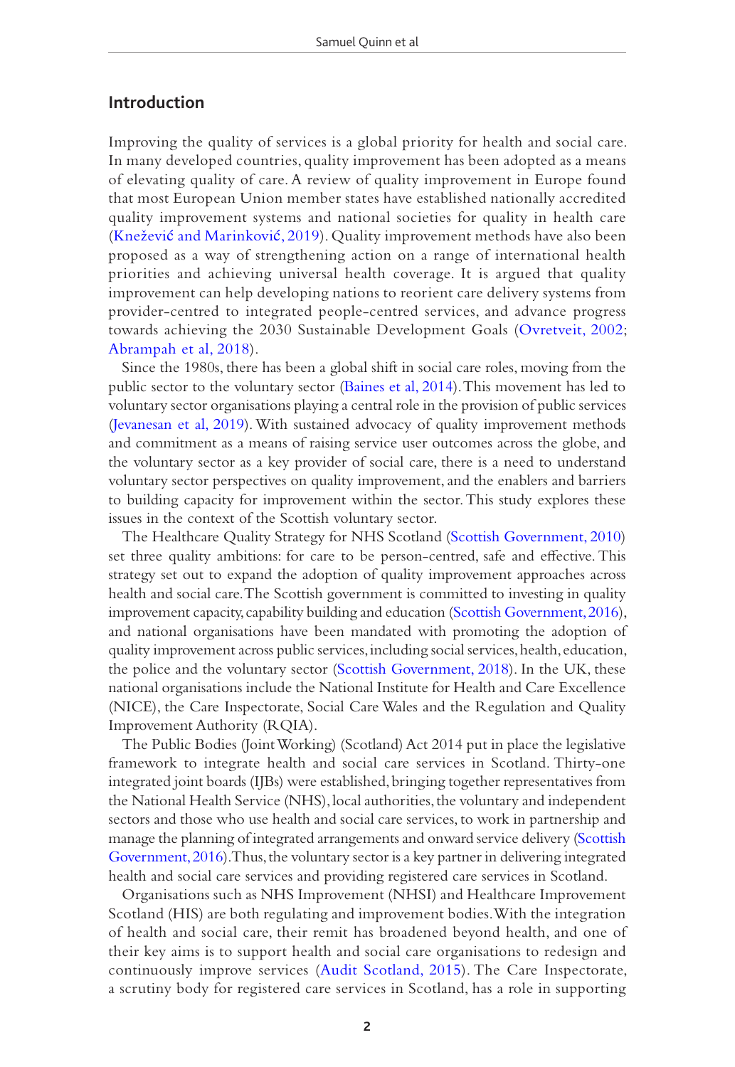## **Introduction**

Improving the quality of services is a global priority for health and social care. In many developed countries, quality improvement has been adopted as a means of elevating quality of care. A review of quality improvement in Europe found that most European Union member states have established nationally accredited quality improvement systems and national societies for quality in health care (Knežević [and Marinkovi](#page-18-0)ć, 2019). Quality improvement methods have also been proposed as a way of strengthening action on a range of international health priorities and achieving universal health coverage. It is argued that quality improvement can help developing nations to reorient care delivery systems from provider-centred to integrated people-centred services, and advance progress towards achieving the 2030 Sustainable Development Goals ([Ovretveit, 2002;](#page-19-0) [Abrampah et al, 2018\)](#page-17-0).

Since the 1980s, there has been a global shift in social care roles, moving from the public sector to the voluntary sector [\(Baines et al, 2014\)](#page-17-1). This movement has led to voluntary sector organisations playing a central role in the provision of public services [\(Jevanesan et al, 2019](#page-18-1)). With sustained advocacy of quality improvement methods and commitment as a means of raising service user outcomes across the globe, and the voluntary sector as a key provider of social care, there is a need to understand voluntary sector perspectives on quality improvement, and the enablers and barriers to building capacity for improvement within the sector. This study explores these issues in the context of the Scottish voluntary sector.

The Healthcare Quality Strategy for NHS Scotland [\(Scottish Government, 2010](#page-20-0)) set three quality ambitions: for care to be person-centred, safe and effective. This strategy set out to expand the adoption of quality improvement approaches across health and social care. The Scottish government is committed to investing in quality improvement capacity, capability building and education ([Scottish Government, 2016\)](#page-20-1), and national organisations have been mandated with promoting the adoption of quality improvement across public services, including social services, health, education, the police and the voluntary sector ([Scottish Government, 2018\)](#page-20-2). In the UK, these national organisations include the National Institute for Health and Care Excellence (NICE), the Care Inspectorate, Social Care Wales and the Regulation and Quality Improvement Authority (RQIA).

The Public Bodies (Joint Working) (Scotland) Act 2014 put in place the legislative framework to integrate health and social care services in Scotland. Thirty-one integrated joint boards (IJBs) were established, bringing together representatives from the National Health Service (NHS), local authorities, the voluntary and independent sectors and those who use health and social care services, to work in partnership and manage the planning of integrated arrangements and onward service delivery ([Scottish](#page-20-1)  [Government, 2016](#page-20-1)). Thus, the voluntary sector is a key partner in delivering integrated health and social care services and providing registered care services in Scotland.

Organisations such as NHS Improvement (NHSI) and Healthcare Improvement Scotland (HIS) are both regulating and improvement bodies. With the integration of health and social care, their remit has broadened beyond health, and one of their key aims is to support health and social care organisations to redesign and continuously improve services ([Audit Scotland, 2015](#page-17-2)). The Care Inspectorate, a scrutiny body for registered care services in Scotland, has a role in supporting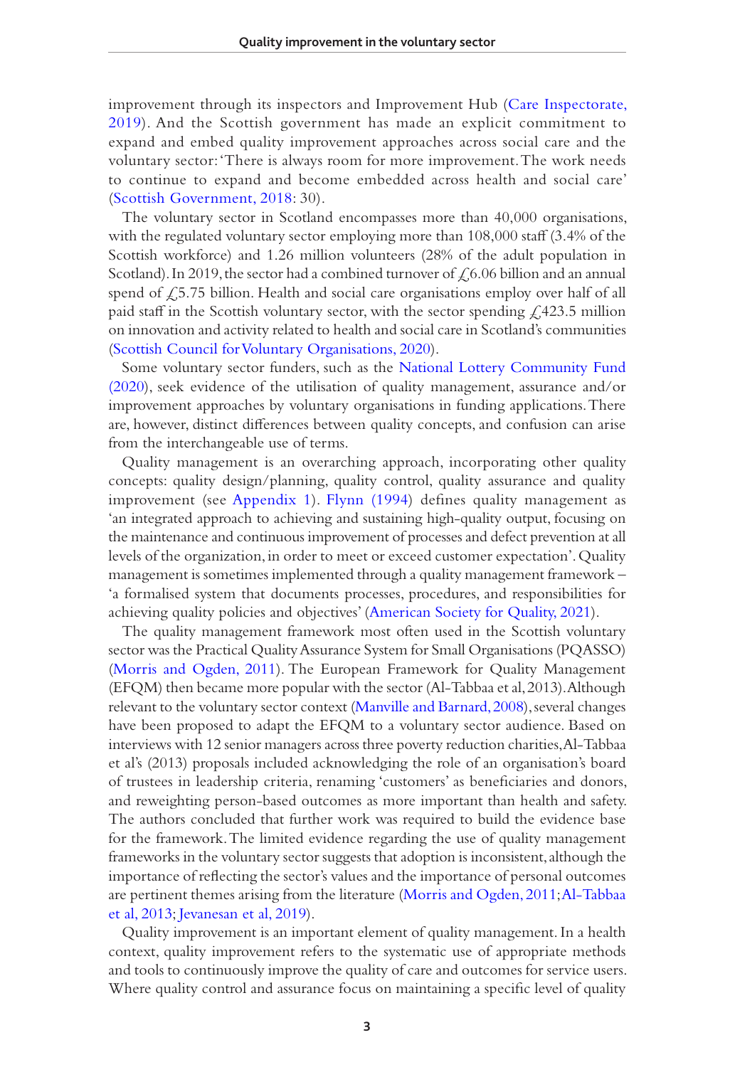improvement through its inspectors and Improvement Hub [\(Care Inspectorate,](#page-17-3)  [2019\)](#page-17-3). And the Scottish government has made an explicit commitment to expand and embed quality improvement approaches across social care and the voluntary sector: 'There is always room for more improvement. The work needs to continue to expand and become embedded across health and social care' [\(Scottish Government, 2018](#page-20-2): 30).

The voluntary sector in Scotland encompasses more than 40,000 organisations, with the regulated voluntary sector employing more than 108,000 staff (3.4% of the Scottish workforce) and 1.26 million volunteers (28% of the adult population in Scotland). In 2019, the sector had a combined turnover of  $\text{\O}6.06$  billion and an annual spend of  $\sqrt{2}$ , 5.75 billion. Health and social care organisations employ over half of all paid staff in the Scottish voluntary sector, with the sector spending  $\angle 423.5$  million on innovation and activity related to health and social care in Scotland's communities [\(Scottish Council for Voluntary Organisations, 2020\)](#page-20-3).

Some voluntary sector funders, such as the [National Lottery Community Fund](#page-19-1)  [\(2020\)](#page-19-1), seek evidence of the utilisation of quality management, assurance and/or improvement approaches by voluntary organisations in funding applications. There are, however, distinct differences between quality concepts, and confusion can arise from the interchangeable use of terms.

Quality management is an overarching approach, incorporating other quality concepts: quality design/planning, quality control, quality assurance and quality improvement (see [Appendix 1\)](#page-22-0). [Flynn \(1994](#page-18-2)) defines quality management as 'an integrated approach to achieving and sustaining high-quality output, focusing on the maintenance and continuous improvement of processes and defect prevention at all levels of the organization, in order to meet or exceed customer expectation'. Quality management is sometimes implemented through a quality management framework – 'a formalised system that documents processes, procedures, and responsibilities for achieving quality policies and objectives' [\(American Society for Quality, 2021](#page-17-4)).

The quality management framework most often used in the Scottish voluntary sector was the Practical Quality Assurance System for Small Organisations (PQASSO) [\(Morris and Ogden, 2011](#page-18-3)). The European Framework for Quality Management (EFQM) then became more popular with the sector (Al-Tabbaa et al, 2013). Although relevant to the voluntary sector context ([Manville and Barnard, 2008\)](#page-18-4), several changes have been proposed to adapt the EFQM to a voluntary sector audience. Based on interviews with 12 senior managers across three poverty reduction charities, Al-Tabbaa et al's (2013) proposals included acknowledging the role of an organisation's board of trustees in leadership criteria, renaming 'customers' as beneficiaries and donors, and reweighting person-based outcomes as more important than health and safety. The authors concluded that further work was required to build the evidence base for the framework. The limited evidence regarding the use of quality management frameworks in the voluntary sector suggests that adoption is inconsistent, although the importance of reflecting the sector's values and the importance of personal outcomes are pertinent themes arising from the literature ([Morris and Ogden, 2011;](#page-18-3) [Al-Tabbaa](#page-17-5)  [et al, 2013](#page-17-5); [Jevanesan et al, 2019](#page-18-1)).

Quality improvement is an important element of quality management. In a health context, quality improvement refers to the systematic use of appropriate methods and tools to continuously improve the quality of care and outcomes for service users. Where quality control and assurance focus on maintaining a specific level of quality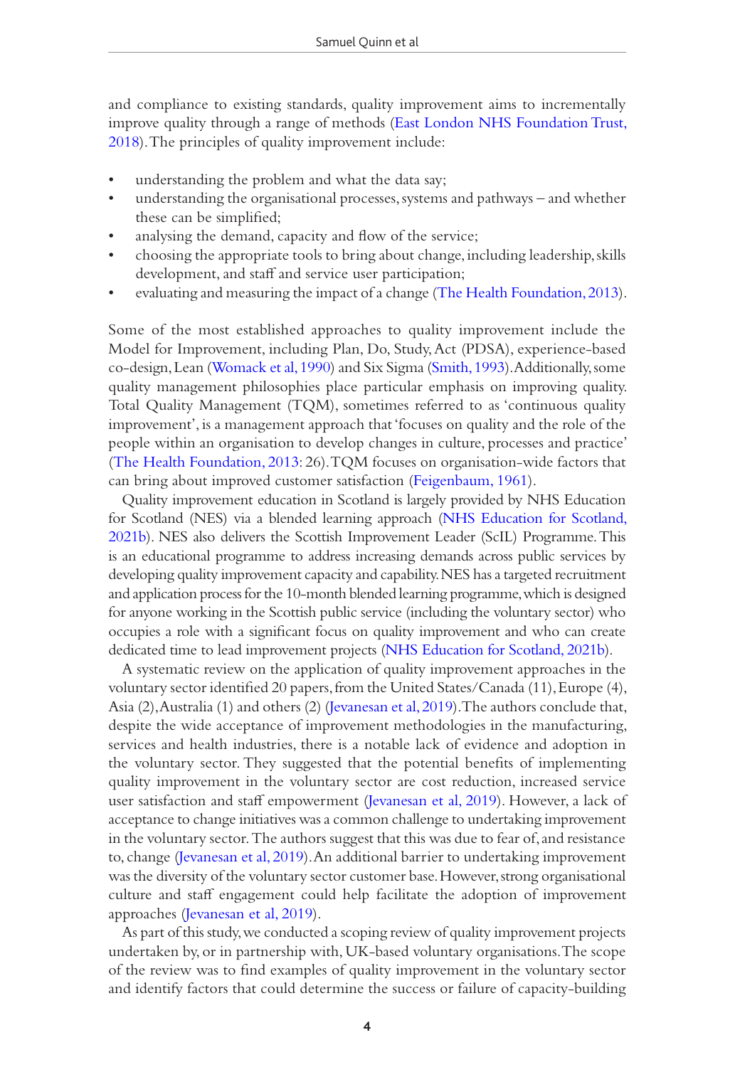and compliance to existing standards, quality improvement aims to incrementally improve quality through a range of methods ([East London NHS Foundation Trust,](#page-17-6)  [2018\)](#page-17-6). The principles of quality improvement include:

- understanding the problem and what the data say;
- understanding the organisational processes, systems and pathways and whether these can be simplified;
- analysing the demand, capacity and flow of the service;
- choosing the appropriate tools to bring about change, including leadership, skills development, and staff and service user participation;
- evaluating and measuring the impact of a change [\(The Health Foundation, 2013\)](#page-20-4).

Some of the most established approaches to quality improvement include the Model for Improvement, including Plan, Do, Study, Act (PDSA), experience-based co-design, Lean [\(Womack et al, 1990](#page-21-0)) and Six Sigma ([Smith, 1993](#page-20-5)). Additionally, some quality management philosophies place particular emphasis on improving quality. Total Quality Management (TQM), sometimes referred to as 'continuous quality improvement', is a management approach that 'focuses on quality and the role of the people within an organisation to develop changes in culture, processes and practice' [\(The Health Foundation, 2013](#page-20-4): 26). TQM focuses on organisation-wide factors that can bring about improved customer satisfaction [\(Feigenbaum, 1961](#page-18-5)).

Quality improvement education in Scotland is largely provided by NHS Education for Scotland (NES) via a blended learning approach [\(NHS Education for Scotland,](#page-19-2)  [2021b](#page-19-2)). NES also delivers the Scottish Improvement Leader (ScIL) Programme. This is an educational programme to address increasing demands across public services by developing quality improvement capacity and capability. NES has a targeted recruitment and application process for the 10-month blended learning programme, which is designed for anyone working in the Scottish public service (including the voluntary sector) who occupies a role with a significant focus on quality improvement and who can create dedicated time to lead improvement projects ([NHS Education for Scotland, 2021b](#page-19-2)).

A systematic review on the application of quality improvement approaches in the voluntary sector identified 20 papers, from the United States/Canada (11), Europe (4), Asia (2), Australia (1) and others (2) ([Jevanesan et al, 2019\)](#page-18-1). The authors conclude that, despite the wide acceptance of improvement methodologies in the manufacturing, services and health industries, there is a notable lack of evidence and adoption in the voluntary sector. They suggested that the potential benefits of implementing quality improvement in the voluntary sector are cost reduction, increased service user satisfaction and staff empowerment ([Jevanesan et al, 2019\)](#page-18-1). However, a lack of acceptance to change initiatives was a common challenge to undertaking improvement in the voluntary sector. The authors suggest that this was due to fear of, and resistance to, change ([Jevanesan et al, 2019\)](#page-18-1). An additional barrier to undertaking improvement was the diversity of the voluntary sector customer base. However, strong organisational culture and staff engagement could help facilitate the adoption of improvement approaches [\(Jevanesan et al, 2019\)](#page-18-1).

As part of this study, we conducted a scoping review of quality improvement projects undertaken by, or in partnership with, UK-based voluntary organisations. The scope of the review was to find examples of quality improvement in the voluntary sector and identify factors that could determine the success or failure of capacity-building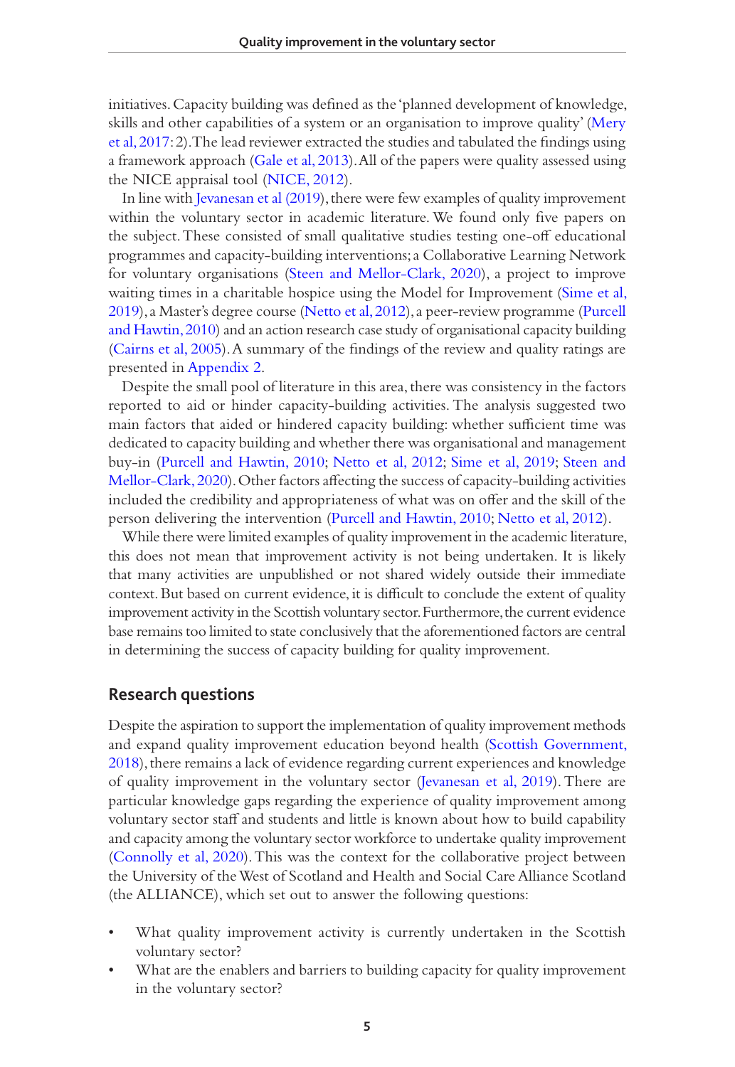initiatives. Capacity building was defined as the 'planned development of knowledge, skills and other capabilities of a system or an organisation to improve quality' ([Mery](#page-18-6)  [et al, 2017:](#page-18-6) 2). The lead reviewer extracted the studies and tabulated the findings using a framework approach ([Gale et al, 2013\)](#page-18-7). All of the papers were quality assessed using the NICE appraisal tool [\(NICE, 2012](#page-19-3)).

In line with [Jevanesan et al \(2019\)](#page-18-1), there were few examples of quality improvement within the voluntary sector in academic literature. We found only five papers on the subject. These consisted of small qualitative studies testing one-off educational programmes and capacity-building interventions; a Collaborative Learning Network for voluntary organisations [\(Steen and Mellor-Clark, 2020\)](#page-20-6), a project to improve waiting times in a charitable hospice using the Model for Improvement [\(Sime et al,](#page-20-7)  [2019](#page-20-7)), a Master's degree course [\(Netto et al, 2012](#page-19-4)), a peer-review programme ([Purcell](#page-19-5)  [and Hawtin, 2010](#page-19-5)) and an action research case study of organisational capacity building [\(Cairns et al, 2005](#page-17-7)). A summary of the findings of the review and quality ratings are presented in [Appendix 2](#page-22-1).

Despite the small pool of literature in this area, there was consistency in the factors reported to aid or hinder capacity-building activities. The analysis suggested two main factors that aided or hindered capacity building: whether sufficient time was dedicated to capacity building and whether there was organisational and management buy-in ([Purcell and Hawtin, 2010;](#page-19-5) [Netto et al, 2012;](#page-19-4) [Sime et al, 2019](#page-20-7); [Steen and](#page-20-6)  [Mellor-Clark, 2020](#page-20-6)). Other factors affecting the success of capacity-building activities included the credibility and appropriateness of what was on offer and the skill of the person delivering the intervention ([Purcell and Hawtin, 2010;](#page-19-5) [Netto et al, 2012](#page-19-4)).

While there were limited examples of quality improvement in the academic literature, this does not mean that improvement activity is not being undertaken. It is likely that many activities are unpublished or not shared widely outside their immediate context. But based on current evidence, it is difficult to conclude the extent of quality improvement activity in the Scottish voluntary sector. Furthermore, the current evidence base remains too limited to state conclusively that the aforementioned factors are central in determining the success of capacity building for quality improvement.

### **Research questions**

Despite the aspiration to support the implementation of quality improvement methods and expand quality improvement education beyond health ([Scottish Government,](#page-20-2)  [2018](#page-20-2)), there remains a lack of evidence regarding current experiences and knowledge of quality improvement in the voluntary sector ([Jevanesan et al, 2019](#page-18-1)). There are particular knowledge gaps regarding the experience of quality improvement among voluntary sector staff and students and little is known about how to build capability and capacity among the voluntary sector workforce to undertake quality improvement [\(Connolly et al, 2020\)](#page-17-8). This was the context for the collaborative project between the University of the West of Scotland and Health and Social Care Alliance Scotland (the ALLIANCE), which set out to answer the following questions:

- What quality improvement activity is currently undertaken in the Scottish voluntary sector?
- What are the enablers and barriers to building capacity for quality improvement in the voluntary sector?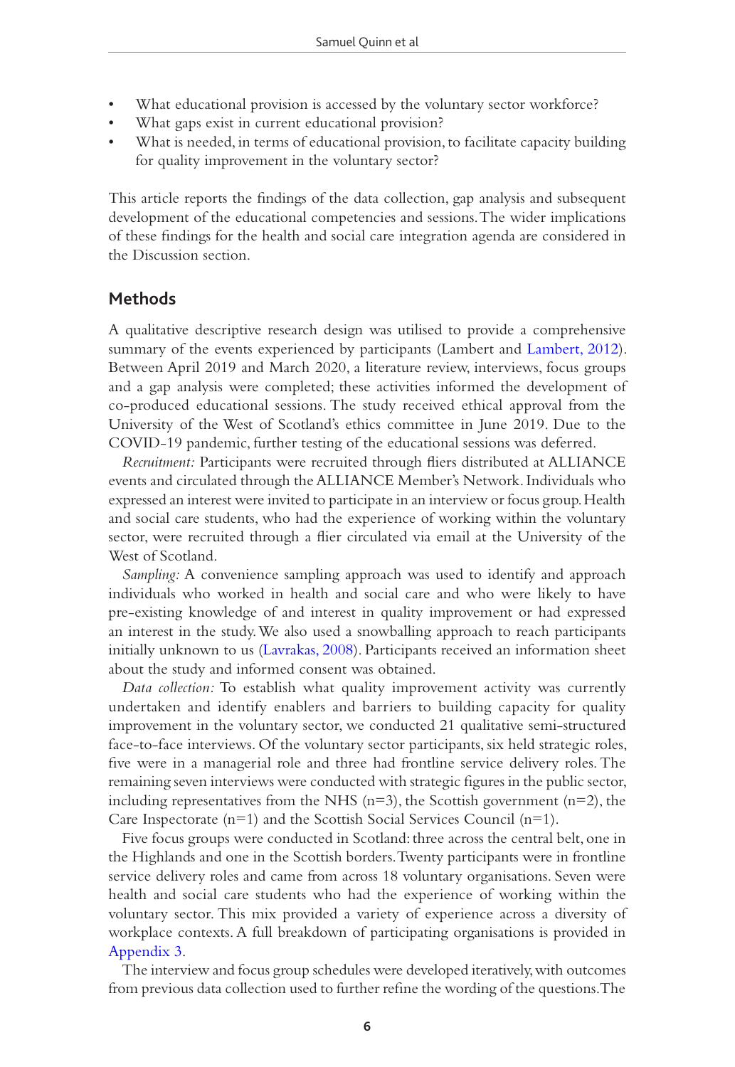- What educational provision is accessed by the voluntary sector workforce?
- What gaps exist in current educational provision?
- What is needed, in terms of educational provision, to facilitate capacity building for quality improvement in the voluntary sector?

This article reports the findings of the data collection, gap analysis and subsequent development of the educational competencies and sessions. The wider implications of these findings for the health and social care integration agenda are considered in the Discussion section.

#### **Methods**

A qualitative descriptive research design was utilised to provide a comprehensive summary of the events experienced by participants (Lambert and [Lambert, 2012\)](#page-18-8). Between April 2019 and March 2020, a literature review, interviews, focus groups and a gap analysis were completed; these activities informed the development of co-produced educational sessions. The study received ethical approval from the University of the West of Scotland's ethics committee in June 2019. Due to the COVID-19 pandemic, further testing of the educational sessions was deferred.

*Recruitment:* Participants were recruited through fliers distributed at ALLIANCE events and circulated through the ALLIANCE Member's Network. Individuals who expressed an interest were invited to participate in an interview or focus group. Health and social care students, who had the experience of working within the voluntary sector, were recruited through a flier circulated via email at the University of the West of Scotland.

*Sampling:* A convenience sampling approach was used to identify and approach individuals who worked in health and social care and who were likely to have pre-existing knowledge of and interest in quality improvement or had expressed an interest in the study. We also used a snowballing approach to reach participants initially unknown to us ([Lavrakas, 2008\)](#page-18-9). Participants received an information sheet about the study and informed consent was obtained.

*Data collection:* To establish what quality improvement activity was currently undertaken and identify enablers and barriers to building capacity for quality improvement in the voluntary sector, we conducted 21 qualitative semi-structured face-to-face interviews. Of the voluntary sector participants, six held strategic roles, five were in a managerial role and three had frontline service delivery roles. The remaining seven interviews were conducted with strategic figures in the public sector, including representatives from the NHS  $(n=3)$ , the Scottish government  $(n=2)$ , the Care Inspectorate (n=1) and the Scottish Social Services Council (n=1).

Five focus groups were conducted in Scotland: three across the central belt, one in the Highlands and one in the Scottish borders. Twenty participants were in frontline service delivery roles and came from across 18 voluntary organisations. Seven were health and social care students who had the experience of working within the voluntary sector. This mix provided a variety of experience across a diversity of workplace contexts. A full breakdown of participating organisations is provided in [Appendix 3.](#page-23-0)

The interview and focus group schedules were developed iteratively, with outcomes from previous data collection used to further refine the wording of the questions. The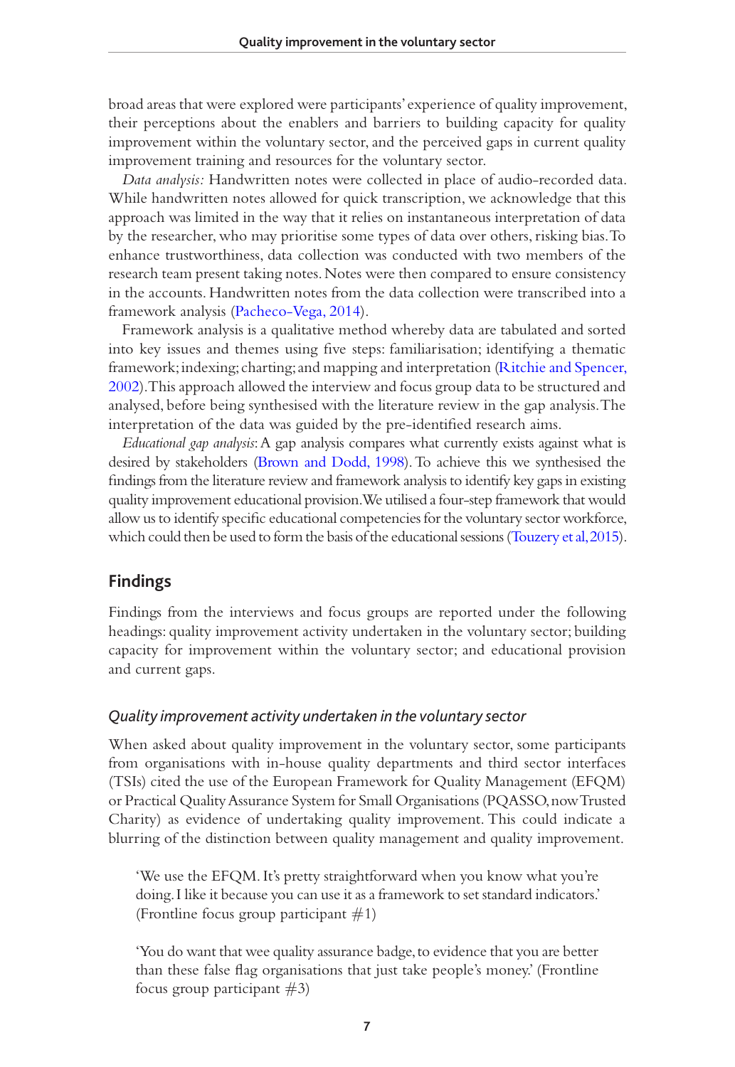broad areas that were explored were participants' experience of quality improvement, their perceptions about the enablers and barriers to building capacity for quality improvement within the voluntary sector, and the perceived gaps in current quality improvement training and resources for the voluntary sector.

*Data analysis:* Handwritten notes were collected in place of audio-recorded data. While handwritten notes allowed for quick transcription, we acknowledge that this approach was limited in the way that it relies on instantaneous interpretation of data by the researcher, who may prioritise some types of data over others, risking bias. To enhance trustworthiness, data collection was conducted with two members of the research team present taking notes. Notes were then compared to ensure consistency in the accounts. Handwritten notes from the data collection were transcribed into a framework analysis [\(Pacheco-Vega, 2014](#page-19-6)).

Framework analysis is a qualitative method whereby data are tabulated and sorted into key issues and themes using five steps: familiarisation; identifying a thematic framework; indexing; charting; and mapping and interpretation [\(Ritchie and Spencer,](#page-19-7)  [2002\)](#page-19-7). This approach allowed the interview and focus group data to be structured and analysed, before being synthesised with the literature review in the gap analysis. The interpretation of the data was guided by the pre-identified research aims.

*Educational gap analysis*: A gap analysis compares what currently exists against what is desired by stakeholders [\(Brown and Dodd, 1998](#page-17-9)). To achieve this we synthesised the findings from the literature review and framework analysis to identify key gaps in existing quality improvement educational provision. We utilised a four-step framework that would allow us to identify specific educational competencies for the voluntary sector workforce, which could then be used to form the basis of the educational sessions [\(Touzery et al, 2015\)](#page-21-1).

### **Findings**

Findings from the interviews and focus groups are reported under the following headings: quality improvement activity undertaken in the voluntary sector; building capacity for improvement within the voluntary sector; and educational provision and current gaps.

#### *Quality improvement activity undertaken in the voluntary sector*

When asked about quality improvement in the voluntary sector, some participants from organisations with in-house quality departments and third sector interfaces (TSIs) cited the use of the European Framework for Quality Management (EFQM) or Practical Quality Assurance System for Small Organisations (PQASSO, now Trusted Charity) as evidence of undertaking quality improvement. This could indicate a blurring of the distinction between quality management and quality improvement.

'We use the EFQM. It's pretty straightforward when you know what you're doing. I like it because you can use it as a framework to set standard indicators.' (Frontline focus group participant  $\#1$ )

'You do want that wee quality assurance badge, to evidence that you are better than these false flag organisations that just take people's money.' (Frontline focus group participant  $#3$ )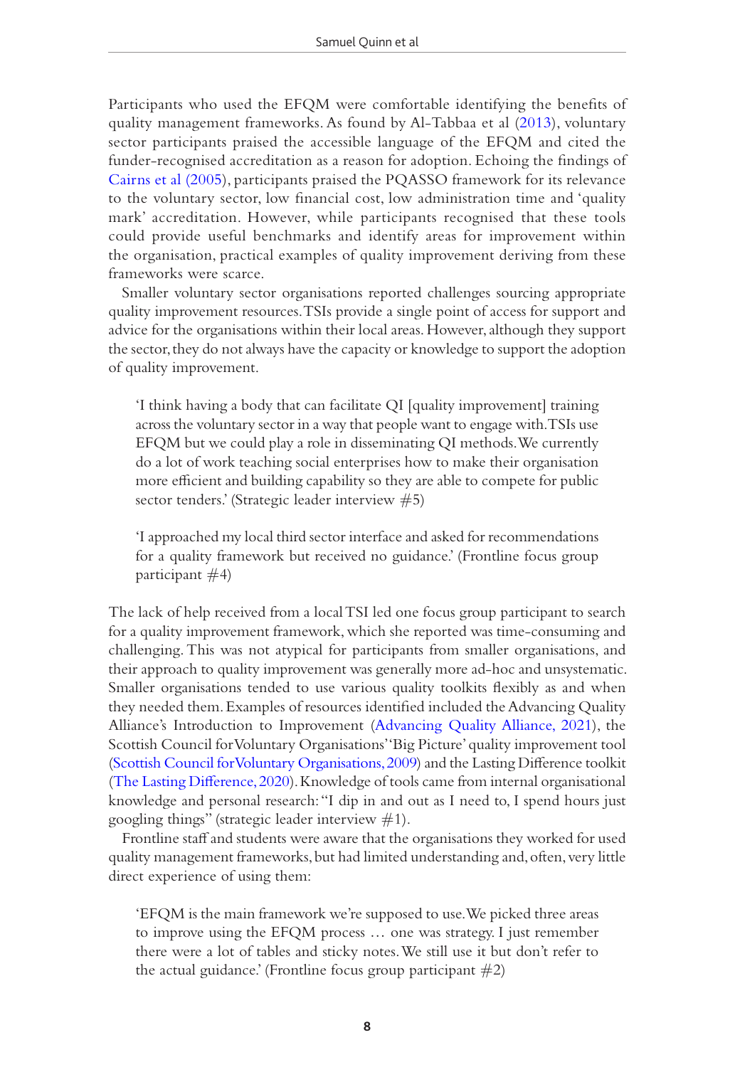Participants who used the EFQM were comfortable identifying the benefits of quality management frameworks. As found by Al-Tabbaa et al ([2013](#page-17-5)), voluntary sector participants praised the accessible language of the EFQM and cited the funder-recognised accreditation as a reason for adoption. Echoing the findings of [Cairns et al \(2005\)](#page-17-7), participants praised the PQASSO framework for its relevance to the voluntary sector, low financial cost, low administration time and 'quality mark' accreditation. However, while participants recognised that these tools could provide useful benchmarks and identify areas for improvement within the organisation, practical examples of quality improvement deriving from these frameworks were scarce.

Smaller voluntary sector organisations reported challenges sourcing appropriate quality improvement resources. TSIs provide a single point of access for support and advice for the organisations within their local areas. However, although they support the sector, they do not always have the capacity or knowledge to support the adoption of quality improvement.

'I think having a body that can facilitate QI [quality improvement] training across the voluntary sector in a way that people want to engage with. TSIs use EFQM but we could play a role in disseminating QI methods. We currently do a lot of work teaching social enterprises how to make their organisation more efficient and building capability so they are able to compete for public sector tenders.' (Strategic leader interview #5)

'I approached my local third sector interface and asked for recommendations for a quality framework but received no guidance.' (Frontline focus group participant  $#4$ )

The lack of help received from a local TSI led one focus group participant to search for a quality improvement framework, which she reported was time-consuming and challenging. This was not atypical for participants from smaller organisations, and their approach to quality improvement was generally more ad-hoc and unsystematic. Smaller organisations tended to use various quality toolkits flexibly as and when they needed them. Examples of resources identified included the Advancing Quality Alliance's Introduction to Improvement [\(Advancing Quality Alliance, 2021](#page-17-10)), the Scottish Council for Voluntary Organisations' 'Big Picture' quality improvement tool [\(Scottish Council for Voluntary Organisations, 2009\)](#page-19-8) and the Lasting Difference toolkit [\(The Lasting Difference, 2020](#page-20-8)). Knowledge of tools came from internal organisational knowledge and personal research: "I dip in and out as I need to, I spend hours just googling things" (strategic leader interview  $\#1$ ).

Frontline staff and students were aware that the organisations they worked for used quality management frameworks, but had limited understanding and, often, very little direct experience of using them:

'EFQM is the main framework we're supposed to use. We picked three areas to improve using the EFQM process … one was strategy. I just remember there were a lot of tables and sticky notes. We still use it but don't refer to the actual guidance.' (Frontline focus group participant  $#2$ )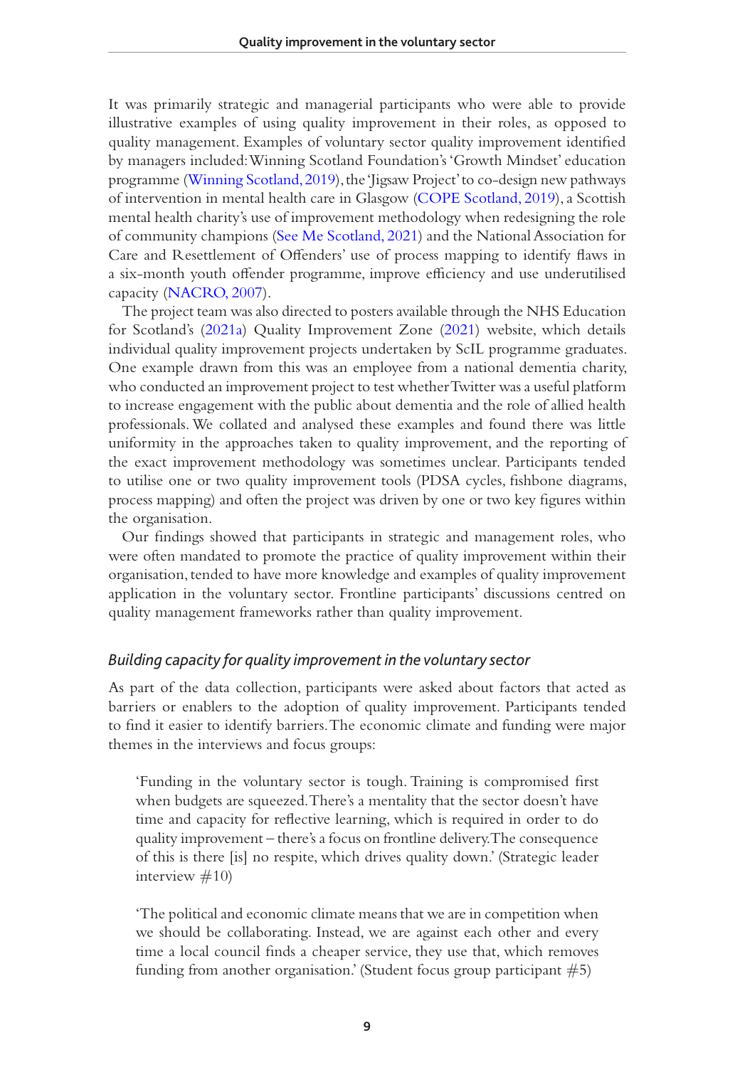It was primarily strategic and managerial participants who were able to provide illustrative examples of using quality improvement in their roles, as opposed to quality management. Examples of voluntary sector quality improvement identified by managers included: Winning Scotland Foundation's 'Growth Mindset' education programme ([Winning Scotland, 2019\)](#page-21-2), the 'Jigsaw Project' to co-design new pathways of intervention in mental health care in Glasgow [\(COPE Scotland, 2019\)](#page-17-11), a Scottish mental health charity's use of improvement methodology when redesigning the role of community champions ([See Me Scotland, 2021\)](#page-20-9) and the National Association for Care and Resettlement of Offenders' use of process mapping to identify flaws in a six-month youth offender programme, improve efficiency and use underutilised capacity [\(NACRO, 2007](#page-18-10)).

The project team was also directed to posters available through the NHS Education for Scotland's [\(2021a\)](#page-19-9) Quality Improvement Zone ([2021\)](#page-19-10) website, which details individual quality improvement projects undertaken by ScIL programme graduates. One example drawn from this was an employee from a national dementia charity, who conducted an improvement project to test whether Twitter was a useful platform to increase engagement with the public about dementia and the role of allied health professionals. We collated and analysed these examples and found there was little uniformity in the approaches taken to quality improvement, and the reporting of the exact improvement methodology was sometimes unclear. Participants tended to utilise one or two quality improvement tools (PDSA cycles, fishbone diagrams, process mapping) and often the project was driven by one or two key figures within the organisation.

Our findings showed that participants in strategic and management roles, who were often mandated to promote the practice of quality improvement within their organisation, tended to have more knowledge and examples of quality improvement application in the voluntary sector. Frontline participants' discussions centred on quality management frameworks rather than quality improvement.

## *Building capacity for quality improvement in the voluntary sector*

As part of the data collection, participants were asked about factors that acted as barriers or enablers to the adoption of quality improvement. Participants tended to find it easier to identify barriers. The economic climate and funding were major themes in the interviews and focus groups:

'Funding in the voluntary sector is tough. Training is compromised first when budgets are squeezed. There's a mentality that the sector doesn't have time and capacity for reflective learning, which is required in order to do quality improvement – there's a focus on frontline delivery. The consequence of this is there [is] no respite, which drives quality down.' (Strategic leader interview  $#10$ )

'The political and economic climate means that we are in competition when we should be collaborating. Instead, we are against each other and every time a local council finds a cheaper service, they use that, which removes funding from another organisation.' (Student focus group participant  $#5$ )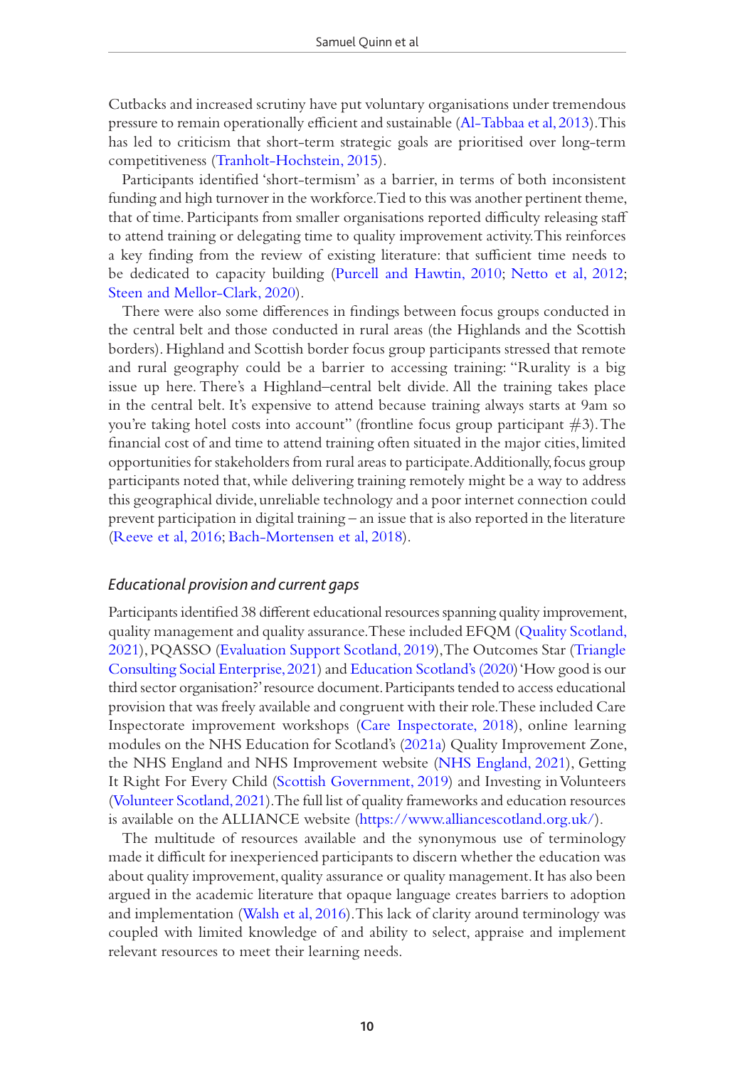Cutbacks and increased scrutiny have put voluntary organisations under tremendous pressure to remain operationally efficient and sustainable ([Al-Tabbaa et al, 2013](#page-17-5)). This has led to criticism that short-term strategic goals are prioritised over long-term competitiveness [\(Tranholt-Hochstein, 2015](#page-21-3)).

Participants identified 'short-termism' as a barrier, in terms of both inconsistent funding and high turnover in the workforce. Tied to this was another pertinent theme, that of time. Participants from smaller organisations reported difficulty releasing staff to attend training or delegating time to quality improvement activity. This reinforces a key finding from the review of existing literature: that sufficient time needs to be dedicated to capacity building ([Purcell and Hawtin, 2010](#page-19-5); [Netto et al, 2012;](#page-19-4) [Steen and Mellor-Clark, 2020](#page-20-6)).

There were also some differences in findings between focus groups conducted in the central belt and those conducted in rural areas (the Highlands and the Scottish borders). Highland and Scottish border focus group participants stressed that remote and rural geography could be a barrier to accessing training: "Rurality is a big issue up here. There's a Highland–central belt divide. All the training takes place in the central belt. It's expensive to attend because training always starts at 9am so you're taking hotel costs into account" (frontline focus group participant  $\#3$ ). The financial cost of and time to attend training often situated in the major cities, limited opportunities for stakeholders from rural areas to participate. Additionally, focus group participants noted that, while delivering training remotely might be a way to address this geographical divide, unreliable technology and a poor internet connection could prevent participation in digital training – an issue that is also reported in the literature [\(Reeve et al, 2016](#page-19-11); [Bach-Mortensen et al, 2018](#page-17-12)).

### *Educational provision and current gaps*

Participants identified 38 different educational resources spanning quality improvement, quality management and quality assurance. These included EFQM ([Quality Scotland,](#page-19-10)  [2021\)](#page-19-10), PQASSO [\(Evaluation Support Scotland, 2019](#page-18-11)), The Outcomes Star [\(Triangle](#page-21-4)  [Consulting Social Enterprise, 2021\)](#page-21-4) and [Education Scotland's \(2020\)](#page-17-13) 'How good is our third sector organisation?' resource document. Participants tended to access educational provision that was freely available and congruent with their role. These included Care Inspectorate improvement workshops [\(Care Inspectorate, 2018](#page-17-14)), online learning modules on the NHS Education for Scotland's ([2021a](#page-19-9)) Quality Improvement Zone, the NHS England and NHS Improvement website ([NHS England, 2021\)](#page-19-12), Getting It Right For Every Child ([Scottish Government, 2019\)](#page-20-10) and Investing in Volunteers [\(Volunteer Scotland, 2021](#page-21-5)). The full list of quality frameworks and education resources is available on the ALLIANCE website ([https://www.alliancescotland.org.uk/\)](https://www.alliancescotland.org.uk/).

The multitude of resources available and the synonymous use of terminology made it difficult for inexperienced participants to discern whether the education was about quality improvement, quality assurance or quality management. It has also been argued in the academic literature that opaque language creates barriers to adoption and implementation ([Walsh et al, 2016\)](#page-21-6). This lack of clarity around terminology was coupled with limited knowledge of and ability to select, appraise and implement relevant resources to meet their learning needs.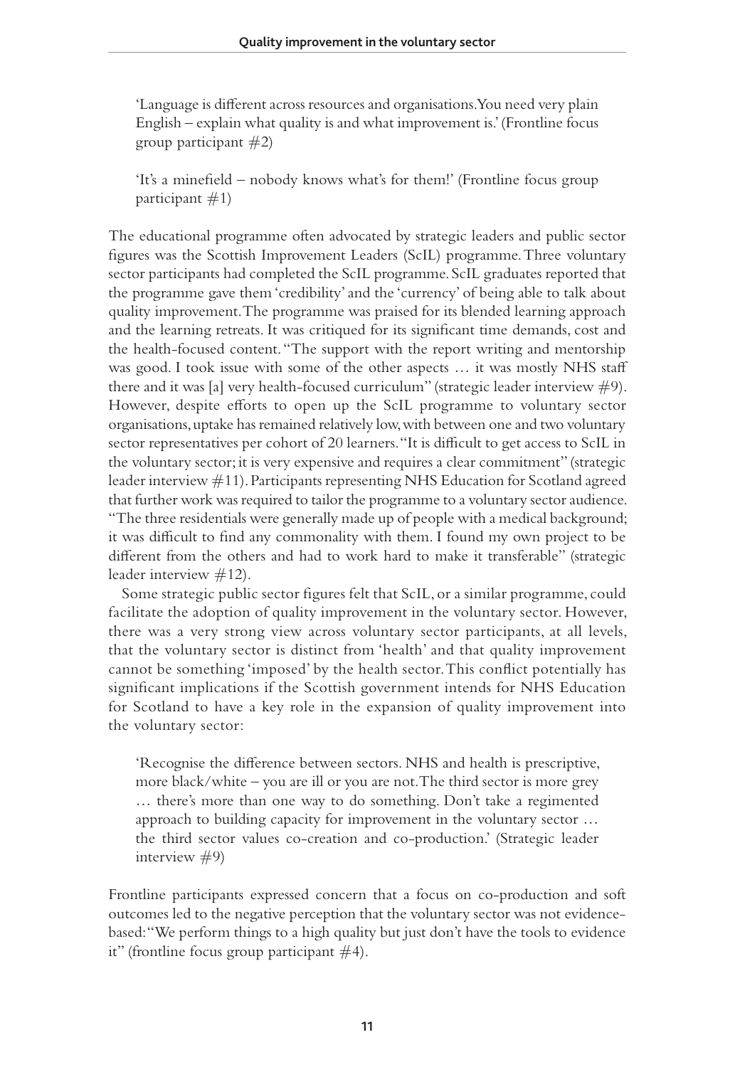'Language is different across resources and organisations. You need very plain English – explain what quality is and what improvement is.' (Frontline focus group participant  $\#2$ )

'It's a minefield – nobody knows what's for them!' (Frontline focus group participant  $#1$ )

The educational programme often advocated by strategic leaders and public sector figures was the Scottish Improvement Leaders (ScIL) programme. Three voluntary sector participants had completed the ScIL programme. ScIL graduates reported that the programme gave them 'credibility' and the 'currency' of being able to talk about quality improvement. The programme was praised for its blended learning approach and the learning retreats. It was critiqued for its significant time demands, cost and the health-focused content. "The support with the report writing and mentorship was good. I took issue with some of the other aspects … it was mostly NHS staff there and it was [a] very health-focused curriculum" (strategic leader interview  $\#9$ ). However, despite efforts to open up the ScIL programme to voluntary sector organisations, uptake has remained relatively low, with between one and two voluntary sector representatives per cohort of 20 learners. "It is difficult to get access to ScIL in the voluntary sector; it is very expensive and requires a clear commitment" (strategic leader interview #11). Participants representing NHS Education for Scotland agreed that further work was required to tailor the programme to a voluntary sector audience. "The three residentials were generally made up of people with a medical background; it was difficult to find any commonality with them. I found my own project to be different from the others and had to work hard to make it transferable" (strategic leader interview #12).

Some strategic public sector figures felt that ScIL, or a similar programme, could facilitate the adoption of quality improvement in the voluntary sector. However, there was a very strong view across voluntary sector participants, at all levels, that the voluntary sector is distinct from 'health' and that quality improvement cannot be something 'imposed' by the health sector. This conflict potentially has significant implications if the Scottish government intends for NHS Education for Scotland to have a key role in the expansion of quality improvement into the voluntary sector:

'Recognise the difference between sectors. NHS and health is prescriptive, more black/white – you are ill or you are not. The third sector is more grey … there's more than one way to do something. Don't take a regimented approach to building capacity for improvement in the voluntary sector … the third sector values co-creation and co-production.' (Strategic leader interview  $#9$ )

Frontline participants expressed concern that a focus on co-production and soft outcomes led to the negative perception that the voluntary sector was not evidencebased: "We perform things to a high quality but just don't have the tools to evidence it" (frontline focus group participant  $#4$ ).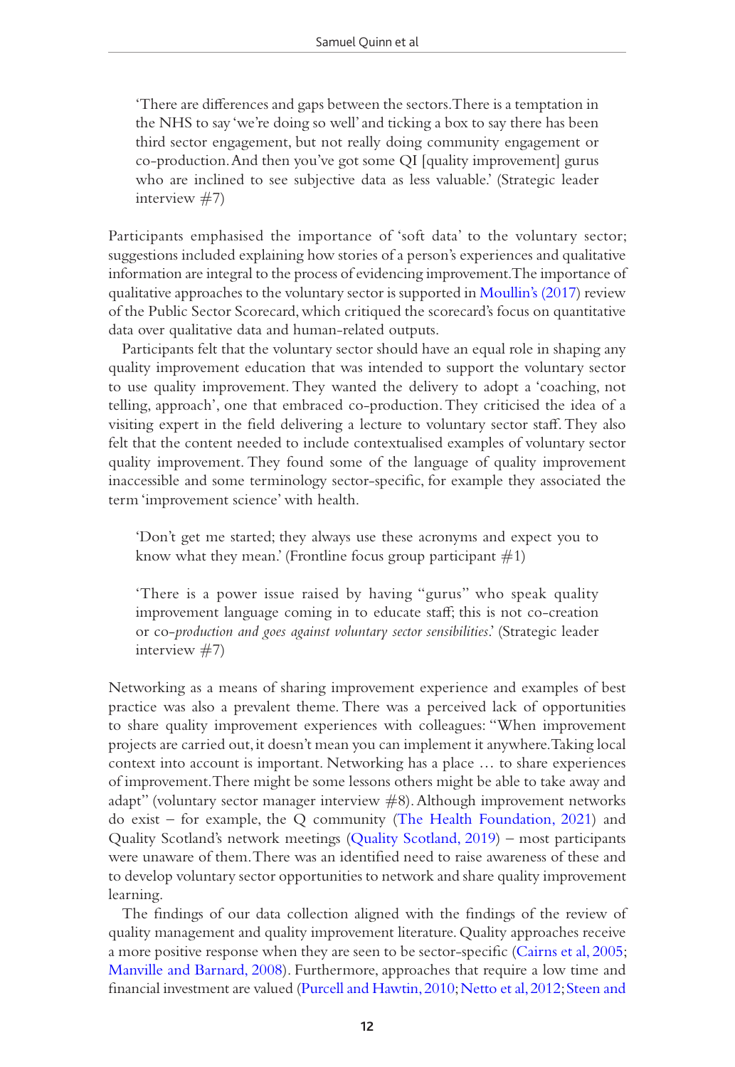'There are differences and gaps between the sectors. There is a temptation in the NHS to say 'we're doing so well' and ticking a box to say there has been third sector engagement, but not really doing community engagement or co-production. And then you've got some QI [quality improvement] gurus who are inclined to see subjective data as less valuable.' (Strategic leader interview #7)

Participants emphasised the importance of 'soft data' to the voluntary sector; suggestions included explaining how stories of a person's experiences and qualitative information are integral to the process of evidencing improvement. The importance of qualitative approaches to the voluntary sector is supported in [Moullin's \(2017\)](#page-18-12) review of the Public Sector Scorecard, which critiqued the scorecard's focus on quantitative data over qualitative data and human-related outputs.

Participants felt that the voluntary sector should have an equal role in shaping any quality improvement education that was intended to support the voluntary sector to use quality improvement. They wanted the delivery to adopt a 'coaching, not telling, approach', one that embraced co-production. They criticised the idea of a visiting expert in the field delivering a lecture to voluntary sector staff. They also felt that the content needed to include contextualised examples of voluntary sector quality improvement. They found some of the language of quality improvement inaccessible and some terminology sector-specific, for example they associated the term 'improvement science' with health.

'Don't get me started; they always use these acronyms and expect you to know what they mean.' (Frontline focus group participant  $\#1$ )

'There is a power issue raised by having "gurus" who speak quality improvement language coming in to educate staff; this is not co-creation or co-*production and goes against voluntary sector sensibilities*.' (Strategic leader interview #7)

Networking as a means of sharing improvement experience and examples of best practice was also a prevalent theme. There was a perceived lack of opportunities to share quality improvement experiences with colleagues: "When improvement projects are carried out, it doesn't mean you can implement it anywhere. Taking local context into account is important. Networking has a place … to share experiences of improvement. There might be some lessons others might be able to take away and adapt" (voluntary sector manager interview #8). Although improvement networks do exist – for example, the Q community ([The Health Foundation, 2021](#page-20-11)) and Quality Scotland's network meetings ([Quality Scotland, 2019](#page-19-13)) – most participants were unaware of them. There was an identified need to raise awareness of these and to develop voluntary sector opportunities to network and share quality improvement learning.

The findings of our data collection aligned with the findings of the review of quality management and quality improvement literature. Quality approaches receive a more positive response when they are seen to be sector-specific ([Cairns et al, 2005;](#page-17-7) [Manville and Barnard, 2008\)](#page-18-4). Furthermore, approaches that require a low time and financial investment are valued ([Purcell and Hawtin, 2010;](#page-19-5) [Netto et al, 2012](#page-19-4); [Steen and](#page-20-6)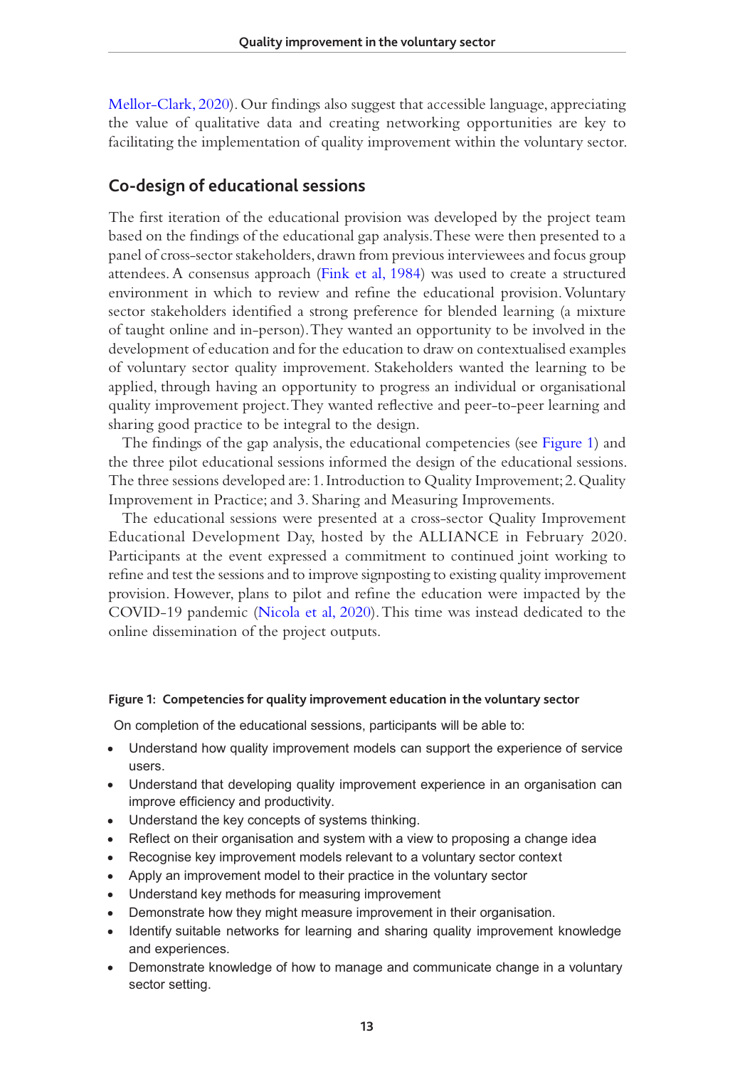[Mellor-Clark, 2020](#page-20-6)). Our findings also suggest that accessible language, appreciating the value of qualitative data and creating networking opportunities are key to facilitating the implementation of quality improvement within the voluntary sector.

#### **Co-design of educational sessions**

The first iteration of the educational provision was developed by the project team based on the findings of the educational gap analysis. These were then presented to a panel of cross-sector stakeholders, drawn from previous interviewees and focus group attendees. A consensus approach [\(Fink et al, 1984](#page-18-13)) was used to create a structured environment in which to review and refine the educational provision. Voluntary sector stakeholders identified a strong preference for blended learning (a mixture of taught online and in-person). They wanted an opportunity to be involved in the development of education and for the education to draw on contextualised examples of voluntary sector quality improvement. Stakeholders wanted the learning to be applied, through having an opportunity to progress an individual or organisational quality improvement project. They wanted reflective and peer-to-peer learning and sharing good practice to be integral to the design.

The findings of the gap analysis, the educational competencies (see [Figure 1\)](#page-13-0) and the three pilot educational sessions informed the design of the educational sessions. The three sessions developed are: 1. Introduction to Quality Improvement; 2. Quality Improvement in Practice; and 3. Sharing and Measuring Improvements.

The educational sessions were presented at a cross-sector Quality Improvement Educational Development Day, hosted by the ALLIANCE in February 2020. Participants at the event expressed a commitment to continued joint working to refine and test the sessions and to improve signposting to existing quality improvement provision. However, plans to pilot and refine the education were impacted by the COVID-19 pandemic [\(Nicola et al, 2020](#page-19-14)). This time was instead dedicated to the online dissemination of the project outputs.

#### <span id="page-13-0"></span>**Figure 1: Competencies for quality improvement education in the voluntary sector**

On completion of the educational sessions, participants will be able to:

- Understand how quality improvement models can support the experience of service users.
- Understand that developing quality improvement experience in an organisation can improve efficiency and productivity.
- Understand the key concepts of systems thinking.
- Reflect on their organisation and system with a view to proposing a change idea
- Recognise key improvement models relevant to a voluntary sector context
- Apply an improvement model to their practice in the voluntary sector
- Understand key methods for measuring improvement
- Demonstrate how they might measure improvement in their organisation.
- Identify suitable networks for learning and sharing quality improvement knowledge and experiences.
- Demonstrate knowledge of how to manage and communicate change in a voluntary sector setting.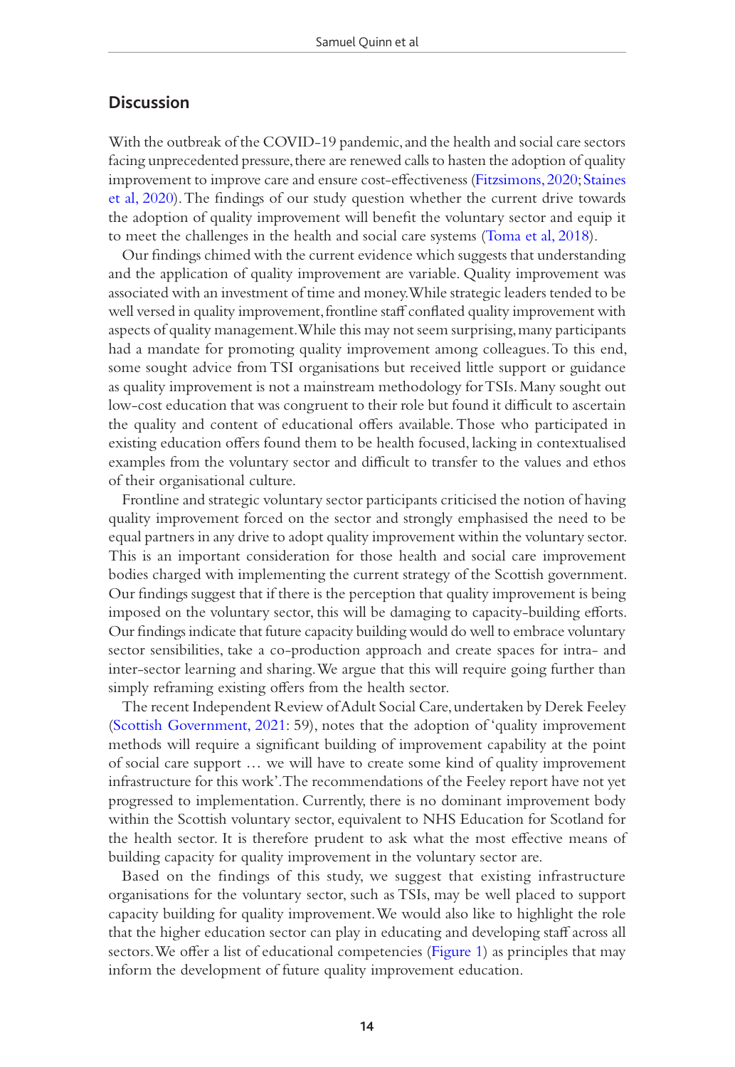#### **Discussion**

With the outbreak of the COVID-19 pandemic, and the health and social care sectors facing unprecedented pressure, there are renewed calls to hasten the adoption of quality improvement to improve care and ensure cost-effectiveness ([Fitzsimons, 2020;](#page-18-14) [Staines](#page-20-12)  [et al, 2020](#page-20-12)). The findings of our study question whether the current drive towards the adoption of quality improvement will benefit the voluntary sector and equip it to meet the challenges in the health and social care systems [\(Toma et al, 2018](#page-21-7)).

Our findings chimed with the current evidence which suggests that understanding and the application of quality improvement are variable. Quality improvement was associated with an investment of time and money. While strategic leaders tended to be well versed in quality improvement, frontline staff conflated quality improvement with aspects of quality management. While this may not seem surprising, many participants had a mandate for promoting quality improvement among colleagues. To this end, some sought advice from TSI organisations but received little support or guidance as quality improvement is not a mainstream methodology for TSIs. Many sought out low-cost education that was congruent to their role but found it difficult to ascertain the quality and content of educational offers available. Those who participated in existing education offers found them to be health focused, lacking in contextualised examples from the voluntary sector and difficult to transfer to the values and ethos of their organisational culture.

Frontline and strategic voluntary sector participants criticised the notion of having quality improvement forced on the sector and strongly emphasised the need to be equal partners in any drive to adopt quality improvement within the voluntary sector. This is an important consideration for those health and social care improvement bodies charged with implementing the current strategy of the Scottish government. Our findings suggest that if there is the perception that quality improvement is being imposed on the voluntary sector, this will be damaging to capacity-building efforts. Our findings indicate that future capacity building would do well to embrace voluntary sector sensibilities, take a co-production approach and create spaces for intra- and inter-sector learning and sharing. We argue that this will require going further than simply reframing existing offers from the health sector.

The recent Independent Review of Adult Social Care, undertaken by Derek Feeley [\(Scottish Government, 2021:](#page-20-13) 59), notes that the adoption of 'quality improvement methods will require a significant building of improvement capability at the point of social care support … we will have to create some kind of quality improvement infrastructure for this work'. The recommendations of the Feeley report have not yet progressed to implementation. Currently, there is no dominant improvement body within the Scottish voluntary sector, equivalent to NHS Education for Scotland for the health sector. It is therefore prudent to ask what the most effective means of building capacity for quality improvement in the voluntary sector are.

Based on the findings of this study, we suggest that existing infrastructure organisations for the voluntary sector, such as TSIs, may be well placed to support capacity building for quality improvement. We would also like to highlight the role that the higher education sector can play in educating and developing staff across all sectors. We offer a list of educational competencies [\(Figure 1\)](#page-13-0) as principles that may inform the development of future quality improvement education.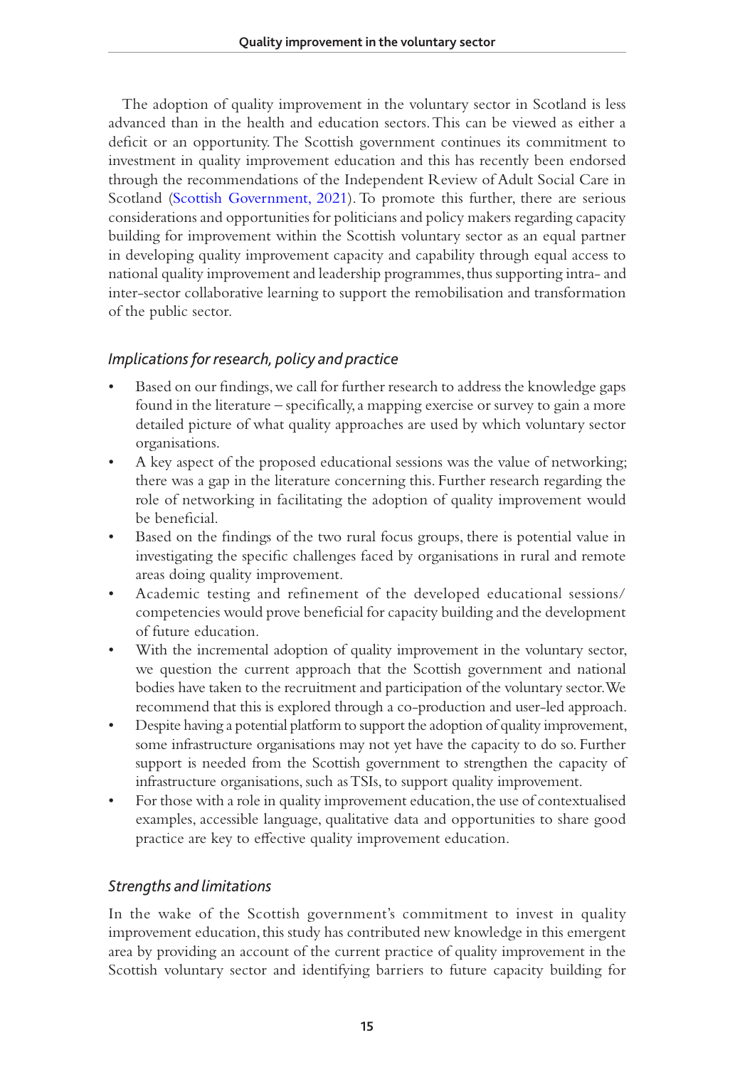The adoption of quality improvement in the voluntary sector in Scotland is less advanced than in the health and education sectors. This can be viewed as either a deficit or an opportunity. The Scottish government continues its commitment to investment in quality improvement education and this has recently been endorsed through the recommendations of the Independent Review of Adult Social Care in Scotland ([Scottish Government, 2021\)](#page-20-13). To promote this further, there are serious considerations and opportunities for politicians and policy makers regarding capacity building for improvement within the Scottish voluntary sector as an equal partner in developing quality improvement capacity and capability through equal access to national quality improvement and leadership programmes, thus supporting intra- and inter-sector collaborative learning to support the remobilisation and transformation of the public sector.

## *Implications for research, policy and practice*

- Based on our findings, we call for further research to address the knowledge gaps found in the literature – specifically, a mapping exercise or survey to gain a more detailed picture of what quality approaches are used by which voluntary sector organisations.
- A key aspect of the proposed educational sessions was the value of networking; there was a gap in the literature concerning this. Further research regarding the role of networking in facilitating the adoption of quality improvement would be beneficial.
- Based on the findings of the two rural focus groups, there is potential value in investigating the specific challenges faced by organisations in rural and remote areas doing quality improvement.
- Academic testing and refinement of the developed educational sessions/ competencies would prove beneficial for capacity building and the development of future education.
- With the incremental adoption of quality improvement in the voluntary sector, we question the current approach that the Scottish government and national bodies have taken to the recruitment and participation of the voluntary sector. We recommend that this is explored through a co-production and user-led approach.
- Despite having a potential platform to support the adoption of quality improvement, some infrastructure organisations may not yet have the capacity to do so. Further support is needed from the Scottish government to strengthen the capacity of infrastructure organisations, such as TSIs, to support quality improvement.
- For those with a role in quality improvement education, the use of contextualised examples, accessible language, qualitative data and opportunities to share good practice are key to effective quality improvement education.

### *Strengths and limitations*

In the wake of the Scottish government's commitment to invest in quality improvement education, this study has contributed new knowledge in this emergent area by providing an account of the current practice of quality improvement in the Scottish voluntary sector and identifying barriers to future capacity building for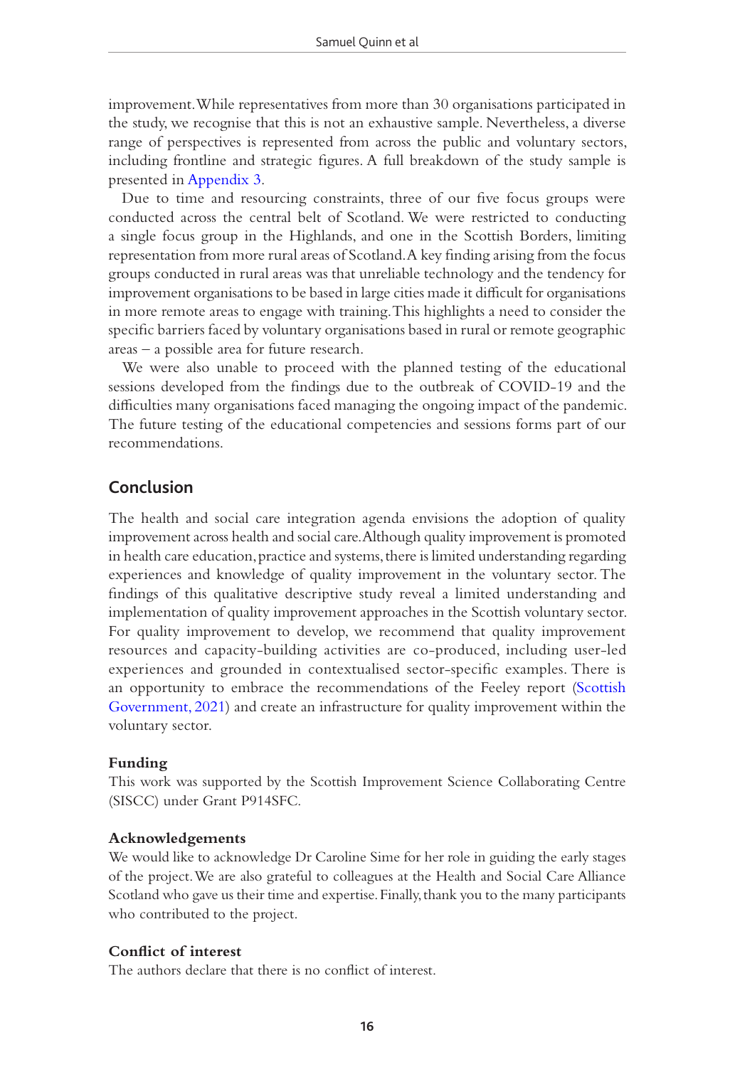improvement. While representatives from more than 30 organisations participated in the study, we recognise that this is not an exhaustive sample. Nevertheless, a diverse range of perspectives is represented from across the public and voluntary sectors, including frontline and strategic figures. A full breakdown of the study sample is presented in [Appendix 3](#page-23-0).

Due to time and resourcing constraints, three of our five focus groups were conducted across the central belt of Scotland. We were restricted to conducting a single focus group in the Highlands, and one in the Scottish Borders, limiting representation from more rural areas of Scotland. A key finding arising from the focus groups conducted in rural areas was that unreliable technology and the tendency for improvement organisations to be based in large cities made it difficult for organisations in more remote areas to engage with training. This highlights a need to consider the specific barriers faced by voluntary organisations based in rural or remote geographic areas – a possible area for future research.

We were also unable to proceed with the planned testing of the educational sessions developed from the findings due to the outbreak of COVID-19 and the difficulties many organisations faced managing the ongoing impact of the pandemic. The future testing of the educational competencies and sessions forms part of our recommendations.

### **Conclusion**

The health and social care integration agenda envisions the adoption of quality improvement across health and social care. Although quality improvement is promoted in health care education, practice and systems, there is limited understanding regarding experiences and knowledge of quality improvement in the voluntary sector. The findings of this qualitative descriptive study reveal a limited understanding and implementation of quality improvement approaches in the Scottish voluntary sector. For quality improvement to develop, we recommend that quality improvement resources and capacity-building activities are co-produced, including user-led experiences and grounded in contextualised sector-specific examples. There is an opportunity to embrace the recommendations of the Feeley report ([Scottish](#page-20-13)  [Government, 2021\)](#page-20-13) and create an infrastructure for quality improvement within the voluntary sector.

#### **Funding**

This work was supported by the Scottish Improvement Science Collaborating Centre (SISCC) under Grant P914SFC.

#### **Acknowledgements**

We would like to acknowledge Dr Caroline Sime for her role in guiding the early stages of the project. We are also grateful to colleagues at the Health and Social Care Alliance Scotland who gave us their time and expertise. Finally, thank you to the many participants who contributed to the project.

#### **Conflict of interest**

The authors declare that there is no conflict of interest.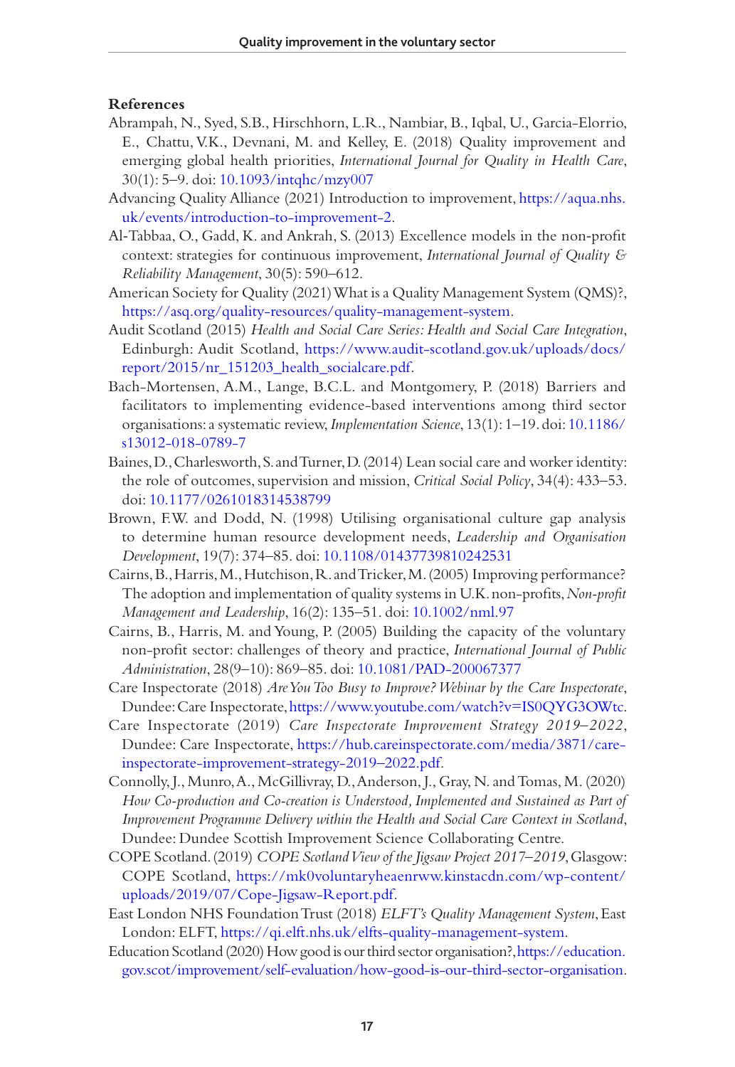#### **References**

- <span id="page-17-0"></span>Abrampah, N., Syed, S.B., Hirschhorn, L.R., Nambiar, B., Iqbal, U., Garcia-Elorrio, E., Chattu, V.K., Devnani, M. and Kelley, E. (2018) Quality improvement and emerging global health priorities, *International Journal for Quality in Health Care*, 30(1): 5–9. doi: [10.1093/intqhc/mzy007](https://doi.org/10.1093/intqhc/mzy007)
- <span id="page-17-10"></span>Advancing Quality Alliance (2021) Introduction to improvement, [https://aqua.nhs.](https://aqua.nhs.uk/events/introduction-to-improvement-2) [uk/events/introduction-to-improvement-2.](https://aqua.nhs.uk/events/introduction-to-improvement-2)
- <span id="page-17-5"></span>Al‐Tabbaa, O., Gadd, K. and Ankrah, S. (2013) Excellence models in the non‐profit context: strategies for continuous improvement, *International Journal of Quality & Reliability Management*, 30(5): 590–612.
- <span id="page-17-4"></span>American Society for Quality (2021) What is a Quality Management System (QMS)?, [https://asq.org/quality-resources/quality-management-system.](https://asq.org/quality-resources/quality-management-system)
- <span id="page-17-2"></span>Audit Scotland (2015) *Health and Social Care Series: Health and Social Care Integration*, Edinburgh: Audit Scotland, [https://www.audit-scotland.gov.uk/uploads/docs/](https://www.audit-scotland.gov.uk/uploads/docs/report/2015/nr_151203_health_socialcare.pdf) [report/2015/nr\\_151203\\_health\\_socialcare.pdf.](https://www.audit-scotland.gov.uk/uploads/docs/report/2015/nr_151203_health_socialcare.pdf)
- <span id="page-17-12"></span>Bach-Mortensen, A.M., Lange, B.C.L. and Montgomery, P. (2018) Barriers and facilitators to implementing evidence-based interventions among third sector organisations: a systematic review, *Implementation Science*, 13(1): 1–19. doi: [10.1186/](https://doi.org/10.1186/s13012-018-0789-7) [s13012-018-0789-7](https://doi.org/10.1186/s13012-018-0789-7)
- <span id="page-17-1"></span>Baines, D., Charlesworth, S. and Turner, D. (2014) Lean social care and worker identity: the role of outcomes, supervision and mission, *Critical Social Policy*, 34(4): 433–53. doi: [10.1177/0261018314538799](https://doi.org/10.1177/0261018314538799)
- <span id="page-17-9"></span>Brown, F.W. and Dodd, N. (1998) Utilising organisational culture gap analysis to determine human resource development needs, *Leadership and Organisation Development*, 19(7): 374–85. doi: [10.1108/01437739810242531](https://doi.org/10.1108/01437739810242531)
- Cairns, B., Harris, M., Hutchison, R. and Tricker, M. (2005) Improving performance? The adoption and implementation of quality systems in U.K. non-profits, *Non-profit Management and Leadership*, 16(2): 135–51. doi: [10.1002/nml.97](https://doi.org/10.1002/nml.97)
- <span id="page-17-7"></span>Cairns, B., Harris, M. and Young, P. (2005) Building the capacity of the voluntary non-profit sector: challenges of theory and practice, *International Journal of Public Administration*, 28(9–10): 869–85. doi: [10.1081/PAD-200067377](https://doi.org/10.1081/PAD-200067377)
- <span id="page-17-14"></span>Care Inspectorate (2018) *Are You Too Busy to Improve? Webinar by the Care Inspectorate*, Dundee: Care Inspectorate, [https://www.youtube.com/watch?v=IS0QYG3OWtc.](https://www.youtube.com/watch?v=IS0QYG3OWtc)
- <span id="page-17-3"></span>Care Inspectorate (2019) *Care Inspectorate Improvement Strategy 2019–2022*, Dundee: Care Inspectorate, [https://hub.careinspectorate.com/media/3871/care](https://hub.careinspectorate.com/media/3871/care-inspectorate-improvement-strategy-2019﻿–﻿2022.pdf)[inspectorate-improvement-strategy-2019–2022.pdf](https://hub.careinspectorate.com/media/3871/care-inspectorate-improvement-strategy-2019﻿–﻿2022.pdf).
- <span id="page-17-8"></span>Connolly, J., Munro, A., McGillivray, D., Anderson, J., Gray, N. and Tomas, M. (2020) *How Co-production and Co-creation is Understood, Implemented and Sustained as Part of Improvement Programme Delivery within the Health and Social Care Context in Scotland*, Dundee: Dundee Scottish Improvement Science Collaborating Centre.
- <span id="page-17-11"></span>COPE Scotland. (2019) *COPE Scotland View of the Jigsaw Project 2017–2019*, Glasgow: COPE Scotland, [https://mk0voluntaryheaenrww.kinstacdn.com/wp-content/](https://mk0voluntaryheaenrww.kinstacdn.com/wp-content/uploads/2019/07/Cope-Jigsaw-Report.pdf) [uploads/2019/07/Cope-Jigsaw-Report.pdf](https://mk0voluntaryheaenrww.kinstacdn.com/wp-content/uploads/2019/07/Cope-Jigsaw-Report.pdf).
- <span id="page-17-6"></span>East London NHS Foundation Trust (2018) *ELFT's Quality Management System*, East London: ELFT, [https://qi.elft.nhs.uk/elfts-quality-management-system.](https://qi.elft.nhs.uk/elfts-quality-management-system)
- <span id="page-17-13"></span>Education Scotland (2020) How good is our third sector organisation?, [https://education.](https://education.gov.scot/improvement/self-evaluation/how-good-is-our-third-sector-organisation) [gov.scot/improvement/self-evaluation/how-good-is-our-third-sector-organisation.](https://education.gov.scot/improvement/self-evaluation/how-good-is-our-third-sector-organisation)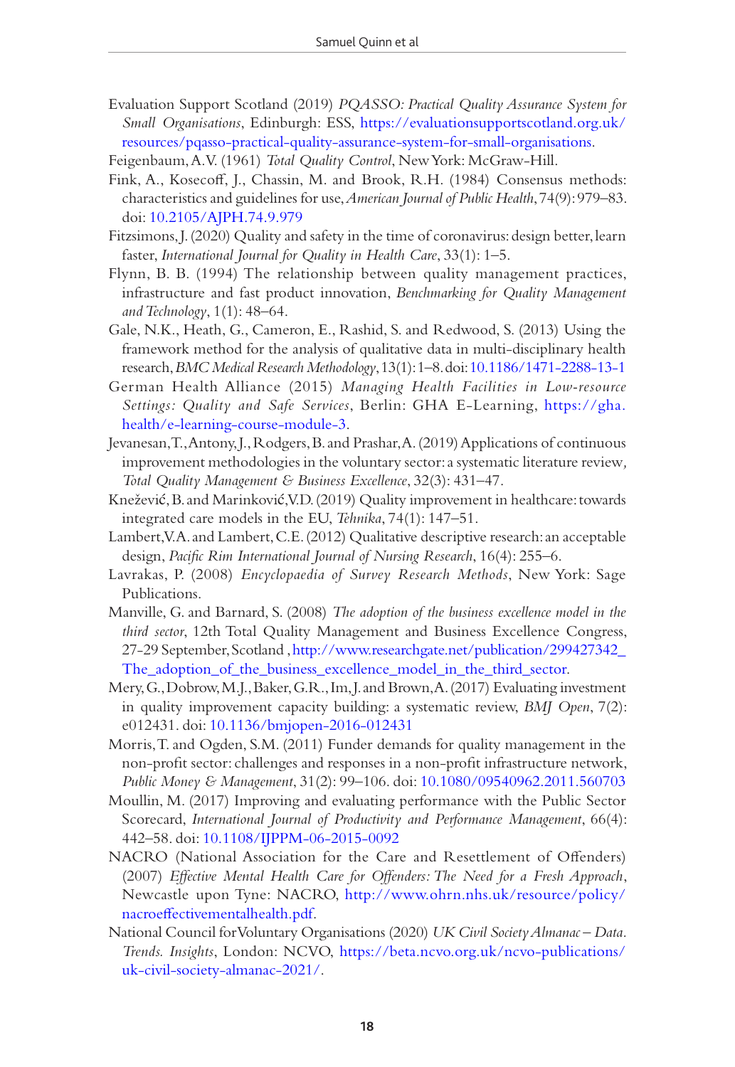<span id="page-18-11"></span>Evaluation Support Scotland (2019) *PQASSO: Practical Quality Assurance System for Small Organisations*, Edinburgh: ESS, [https://evaluationsupportscotland.org.uk/](https://evaluationsupportscotland.org.uk/resources/pqasso-practical-quality-assurance-system-for-small-organisations) [resources/pqasso-practical-quality-assurance-system-for-small-organisations.](https://evaluationsupportscotland.org.uk/resources/pqasso-practical-quality-assurance-system-for-small-organisations)

<span id="page-18-5"></span>Feigenbaum, A.V. (1961) *Total Quality Control*, New York: McGraw-Hill.

- <span id="page-18-13"></span>Fink, A., Kosecoff, J., Chassin, M. and Brook, R.H. (1984) Consensus methods: characteristics and guidelines for use, *American Journal of Public Health*, 74(9): 979–83. doi: [10.2105/AJPH.74.9.979](https://doi.org/10.2105/AJPH.74.9.979)
- <span id="page-18-14"></span>Fitzsimons, J. (2020) Quality and safety in the time of coronavirus: design better, learn faster, *International Journal for Quality in Health Care*, 33(1): 1–5.
- <span id="page-18-2"></span>Flynn, B. B. (1994) The relationship between quality management practices, infrastructure and fast product innovation, *Benchmarking for Quality Management and Technology*, 1(1): 48–64.
- <span id="page-18-7"></span>Gale, N.K., Heath, G., Cameron, E., Rashid, S. and Redwood, S. (2013) Using the framework method for the analysis of qualitative data in multi-disciplinary health research, *BMC Medical Research Methodology*, 13(1): 1–8. doi: [10.1186/1471-2288-13-1](https://doi.org/10.1186/1471-2288-13-1)
- <span id="page-18-15"></span>German Health Alliance (2015) *Managing Health Facilities in Low-resource Settings: Quality and Safe Services*, Berlin: GHA E-Learning, [https://gha.](https://gha.health/e-learning-course-module-3) [health/e-learning-course-module-3.](https://gha.health/e-learning-course-module-3)
- <span id="page-18-1"></span>Jevanesan, T., Antony, J., Rodgers, B. and Prashar, A. (2019) Applications of continuous improvement methodologies in the voluntary sector: a systematic literature review*, Total Quality Management & Business Excellence*, 32(3): 431–47.
- <span id="page-18-0"></span>Knežević, B. and Marinković, V.D. (2019) Quality improvement in healthcare: towards integrated care models in the EU, *Tehnika*, 74(1): 147–51.
- <span id="page-18-8"></span>Lambert, V.A. and Lambert, C.E. (2012) Qualitative descriptive research: an acceptable design, *Pacific Rim International Journal of Nursing Research*, 16(4): 255–6.
- <span id="page-18-9"></span>Lavrakas, P. (2008) *Encyclopaedia of Survey Research Methods*, New York: Sage Publications.
- <span id="page-18-4"></span>Manville, G. and Barnard, S. (2008) *The adoption of the business excellence model in the third sector*, 12th Total Quality Management and Business Excellence Congress, 27-29 September, Scotland , [http://www.researchgate.net/publication/299427342\\_](http://www.researchgate.net/publication/299427342_The_adoption_of_the_business_excellence_model_in_t) [The\\_adoption\\_of\\_the\\_business\\_excellence\\_model\\_in\\_the\\_third\\_sector](http://www.researchgate.net/publication/299427342_The_adoption_of_the_business_excellence_model_in_t).
- <span id="page-18-6"></span>Mery, G., Dobrow, M.J., Baker, G.R., Im, J. and Brown, A. (2017) Evaluating investment in quality improvement capacity building: a systematic review, *BMJ Open*, 7(2): e012431. doi: [10.1136/bmjopen-2016-012431](https://doi.org/10.1136/bmjopen-2016-012431)
- <span id="page-18-3"></span>Morris, T. and Ogden, S.M. (2011) Funder demands for quality management in the non-profit sector: challenges and responses in a non-profit infrastructure network, *Public Money & Management*, 31(2): 99–106. doi: [10.1080/09540962.2011.560703](https://doi.org/10.1080/09540962.2011.560703)
- <span id="page-18-12"></span>Moullin, M. (2017) Improving and evaluating performance with the Public Sector Scorecard, *International Journal of Productivity and Performance Management*, 66(4): 442–58. doi: [10.1108/IJPPM-06-2015-0092](https://doi.org/10.1108/IJPPM-06-2015-0092)
- <span id="page-18-10"></span>NACRO (National Association for the Care and Resettlement of Offenders) (2007) *Effective Mental Health Care for Offenders: The Need for a Fresh Approach*, Newcastle upon Tyne: NACRO, [http://www.ohrn.nhs.uk/resource/policy/](http://www.ohrn.nhs.uk/resource/policy/nacroeffectivementalhealth.pdf) [nacroeffectivementalhealth.pdf.](http://www.ohrn.nhs.uk/resource/policy/nacroeffectivementalhealth.pdf)
- <span id="page-18-16"></span>National Council for Voluntary Organisations (2020) *UK Civil Society Almanac – Data. Trends. Insights*, London: NCVO, [https://beta.ncvo.org.uk/ncvo-publications/](https://beta.ncvo.org.uk/ncvo-publications/uk-civil-society-almanac-2021/) [uk-civil-society-almanac-2021/.](https://beta.ncvo.org.uk/ncvo-publications/uk-civil-society-almanac-2021/)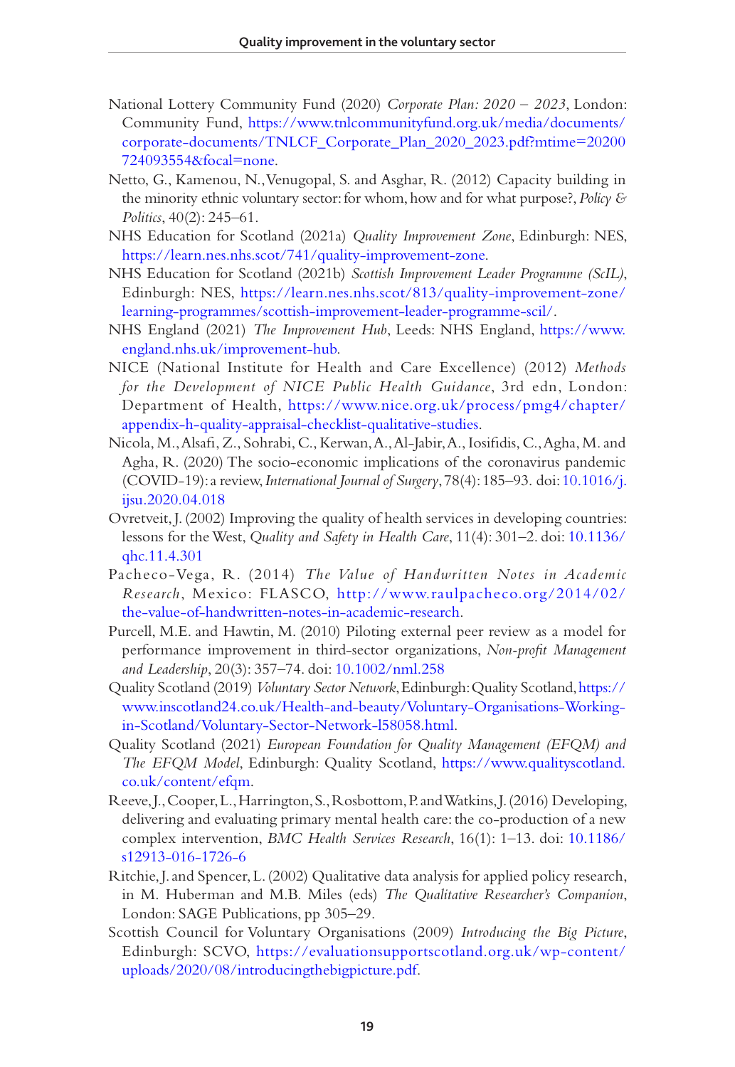- <span id="page-19-1"></span>National Lottery Community Fund (2020) *Corporate Plan: 2020 – 2023*, London: Community Fund, [https://www.tnlcommunityfund.org.uk/media/documents/](https://www.tnlcommunityfund.org.uk/media/documents/corporate-documents/TNLCF_Corporate_Plan_2020_2023.pdf?mtime=20200724093554﻿&﻿focal=none) [corporate-documents/TNLCF\\_Corporate\\_Plan\\_2020\\_2023.pdf?mtime=20200](https://www.tnlcommunityfund.org.uk/media/documents/corporate-documents/TNLCF_Corporate_Plan_2020_2023.pdf?mtime=20200724093554﻿&﻿focal=none) [724093554&focal=none](https://www.tnlcommunityfund.org.uk/media/documents/corporate-documents/TNLCF_Corporate_Plan_2020_2023.pdf?mtime=20200724093554﻿&﻿focal=none).
- <span id="page-19-4"></span>Netto, G., Kamenou, N., Venugopal, S. and Asghar, R. (2012) Capacity building in the minority ethnic voluntary sector: for whom, how and for what purpose?, *Policy & Politics*, 40(2): 245–61.
- <span id="page-19-9"></span>NHS Education for Scotland (2021a) *Quality Improvement Zone*, Edinburgh: NES, [https://learn.nes.nhs.scot/741/quality-improvement-zone.](https://learn.nes.nhs.scot/741/quality-improvement-zone)
- <span id="page-19-2"></span>NHS Education for Scotland (2021b) *Scottish Improvement Leader Programme (ScIL)*, Edinburgh: NES, [https://learn.nes.nhs.scot/813/quality-improvement-zone/](https://learn.nes.nhs.scot/813/quality-improvement-zone/learning-programmes/scottish-improvement-leader-programme-scil/) [learning-programmes/scottish-improvement-leader-programme-scil/](https://learn.nes.nhs.scot/813/quality-improvement-zone/learning-programmes/scottish-improvement-leader-programme-scil/).
- <span id="page-19-12"></span>NHS England (2021) *The Improvement Hub*, Leeds: NHS England, [https://www.](https://www.england.nhs.uk/improvement-hub) [england.nhs.uk/improvement-hub.](https://www.england.nhs.uk/improvement-hub)
- <span id="page-19-3"></span>NICE (National Institute for Health and Care Excellence) (2012) *Methods for the Development of NICE Public Health Guidance*, 3rd edn, London: Department of Health, [https://www.nice.org.uk/process/pmg4/chapter/](https://www.nice.org.uk/process/pmg4/chapter/appendix-h-quality-appraisal-checklist-qualitative-studies) [appendix-h-quality-appraisal-checklist-qualitative-studies.](https://www.nice.org.uk/process/pmg4/chapter/appendix-h-quality-appraisal-checklist-qualitative-studies)
- <span id="page-19-14"></span>Nicola, M., Alsafi, Z., Sohrabi, C., Kerwan, A., Al-Jabir, A., Iosifidis, C., Agha, M. and Agha, R. (2020) The socio-economic implications of the coronavirus pandemic (COVID-19): a review, *International Journal of Surgery*, 78(4): 185–93. doi: [10.1016/j.](https://doi.org/10.1016/j.ijsu.2020.04.018) [ijsu.2020.04.018](https://doi.org/10.1016/j.ijsu.2020.04.018)
- <span id="page-19-0"></span>Ovretveit, J. (2002) Improving the quality of health services in developing countries: lessons for the West, *Quality and Safety in Health Care*, 11(4): 301–2. doi: [10.1136/](https://doi.org/10.1136/qhc.11.4.301) [qhc.11.4.301](https://doi.org/10.1136/qhc.11.4.301)
- <span id="page-19-6"></span>Pacheco-Vega, R. (2014) *The Value of Handwritten Notes in Academic Research*, Mexico: FLASCO, [http://www.raulpacheco.org/2014/02/](http://www.raulpacheco.org/2014/02/the-value-of-handwritten-notes-in-academic-research) [the-value-of-handwritten-notes-in-academic-research](http://www.raulpacheco.org/2014/02/the-value-of-handwritten-notes-in-academic-research).
- <span id="page-19-5"></span>Purcell, M.E. and Hawtin, M. (2010) Piloting external peer review as a model for performance improvement in third-sector organizations, *Non-profit Management and Leadership*, 20(3): 357–74. doi: [10.1002/nml.258](https://doi.org/10.1002/nml.258)
- <span id="page-19-13"></span>Quality Scotland (2019) *Voluntary Sector Network*, Edinburgh: Quality Scotland, [https://](https://www.inscotland24.co.uk/Health-and-beauty/Voluntary-Organisations-Working-in-Scotland/Voluntary-Sector-Network-l58058.html) [www.inscotland24.co.uk/Health-and-beauty/Voluntary-Organisations-Working](https://www.inscotland24.co.uk/Health-and-beauty/Voluntary-Organisations-Working-in-Scotland/Voluntary-Sector-Network-l58058.html)[in-Scotland/Voluntary-Sector-Network-l58058.html](https://www.inscotland24.co.uk/Health-and-beauty/Voluntary-Organisations-Working-in-Scotland/Voluntary-Sector-Network-l58058.html).
- <span id="page-19-10"></span>Quality Scotland (2021) *European Foundation for Quality Management (EFQM) and The EFQM Model*, Edinburgh: Quality Scotland, [https://www.qualityscotland.](https://www.qualityscotland.co.uk/content/efqm) [co.uk/content/efqm](https://www.qualityscotland.co.uk/content/efqm).
- <span id="page-19-11"></span>Reeve, J., Cooper, L., Harrington, S., Rosbottom, P. and Watkins, J. (2016) Developing, delivering and evaluating primary mental health care: the co-production of a new complex intervention, *BMC Health Services Research*, 16(1): 1–13. doi: [10.1186/](https://doi.org/10.1186/s12913-016-1726-6) [s12913-016-1726-6](https://doi.org/10.1186/s12913-016-1726-6)
- <span id="page-19-7"></span>Ritchie, J. and Spencer, L. (2002) Qualitative data analysis for applied policy research, in M. Huberman and M.B. Miles (eds) *The Qualitative Researcher's Companion*, London: SAGE Publications, pp 305–29.
- <span id="page-19-8"></span>Scottish Council for Voluntary Organisations (2009) *Introducing the Big Picture*, Edinburgh: SCVO, [https://evaluationsupportscotland.org.uk/wp-content/](https://evaluationsupportscotland.org.uk/wp-content/uploads/2020/08/introducingthebigpicture.pdf) [uploads/2020/08/introducingthebigpicture.pdf.](https://evaluationsupportscotland.org.uk/wp-content/uploads/2020/08/introducingthebigpicture.pdf)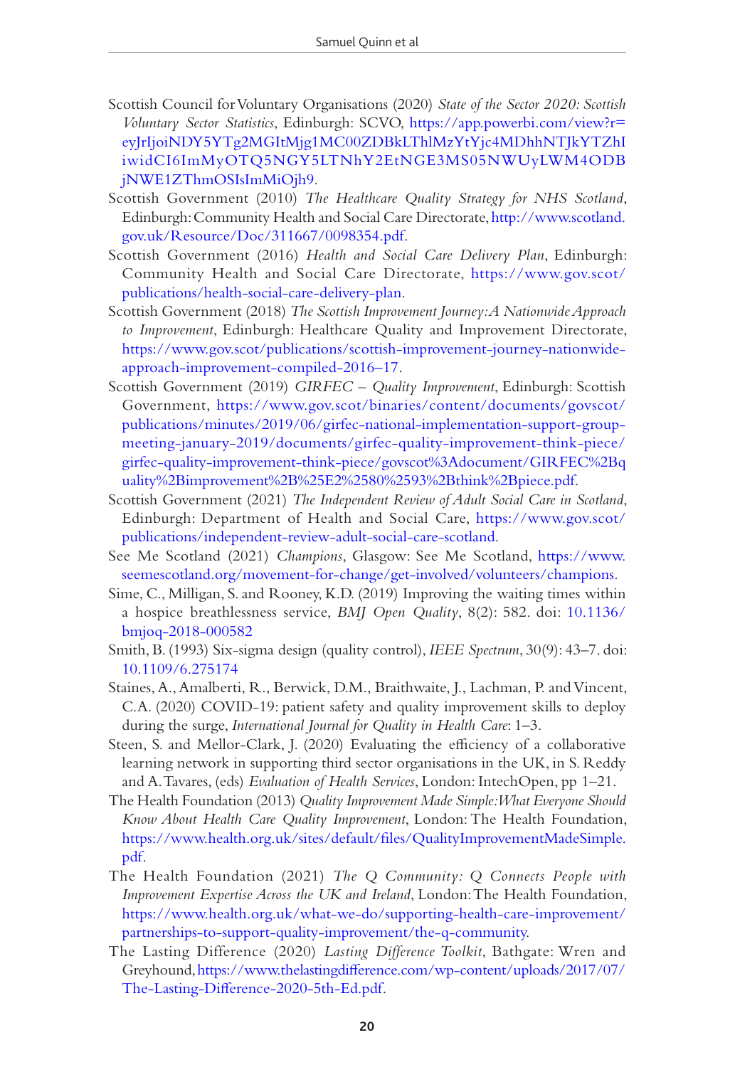- <span id="page-20-3"></span>Scottish Council for Voluntary Organisations (2020) *State of the Sector 2020: Scottish Voluntary Sector Statistics*, Edinburgh: SCVO, [https://app.powerbi.com/view?r=](https://app.powerbi.com/view?r=eyJrIjoiNDY5YTg2MGItMjg1MC00ZDBkLThlMzYtYjc4MDhhNTJkYTZhIiwidCI6ImMyOTQ5NGY5LTNhY2EtNGE3MS05NWUyLWM4ODBjNWE1ZThmOSIsImMiOjh9) [eyJrIjoiNDY5YTg2MGItMjg1MC00ZDBkLThlMzYtYjc4MDhhNTJkYTZhI](https://app.powerbi.com/view?r=eyJrIjoiNDY5YTg2MGItMjg1MC00ZDBkLThlMzYtYjc4MDhhNTJkYTZhIiwidCI6ImMyOTQ5NGY5LTNhY2EtNGE3MS05NWUyLWM4ODBjNWE1ZThmOSIsImMiOjh9) [iwidCI6ImMyOTQ5NGY5LTNhY2EtNGE3MS05NWUyLWM4ODB](https://app.powerbi.com/view?r=eyJrIjoiNDY5YTg2MGItMjg1MC00ZDBkLThlMzYtYjc4MDhhNTJkYTZhIiwidCI6ImMyOTQ5NGY5LTNhY2EtNGE3MS05NWUyLWM4ODBjNWE1ZThmOSIsImMiOjh9) [jNWE1ZThmOSIsImMiOjh9.](https://app.powerbi.com/view?r=eyJrIjoiNDY5YTg2MGItMjg1MC00ZDBkLThlMzYtYjc4MDhhNTJkYTZhIiwidCI6ImMyOTQ5NGY5LTNhY2EtNGE3MS05NWUyLWM4ODBjNWE1ZThmOSIsImMiOjh9)
- <span id="page-20-0"></span>Scottish Government (2010) *The Healthcare Quality Strategy for NHS Scotland*, Edinburgh: Community Health and Social Care Directorate, [http://www.scotland.](http://www.scotland.gov.uk/Resource/Doc/311667/0098354.pdf) [gov.uk/Resource/Doc/311667/0098354.pdf](http://www.scotland.gov.uk/Resource/Doc/311667/0098354.pdf).
- <span id="page-20-1"></span>Scottish Government (2016) *Health and Social Care Delivery Plan*, Edinburgh: Community Health and Social Care Directorate, [https://www.gov.scot/](https://www.gov.scot/publications/health-social-care-delivery-plan) [publications/health-social-care-delivery-plan.](https://www.gov.scot/publications/health-social-care-delivery-plan)
- <span id="page-20-2"></span>Scottish Government (2018) *The Scottish Improvement Journey: A Nationwide Approach to Improvement*, Edinburgh: Healthcare Quality and Improvement Directorate, [https://www.gov.scot/publications/scottish-improvement-journey-nationwide](https://www.gov.scot/publications/scottish-improvement-journey-nationwide-approach-improvement-compiled-2016﻿–﻿17)[approach-improvement-compiled-2016](https://www.gov.scot/publications/scottish-improvement-journey-nationwide-approach-improvement-compiled-2016﻿–﻿17)–17.
- <span id="page-20-10"></span>Scottish Government (2019) *GIRFEC – Quality Improvement*, Edinburgh: Scottish Government, [https://www.gov.scot/binaries/content/documents/govscot/](https://www.gov.scot/binaries/content/documents/govscot/publications/minutes/2019/06/girfec-national-implementation-support-group-meeting-january-2019/documents/girfec-quality-improvement-think-piece/girfec-quality-improvement-think-piece/govscot%3Adocument/GIRFEC%2Bquality%2Bimprovement%2B%25E2%2580%2593%2Bthink%2Bpiece.pdf) [publications/minutes/2019/06/girfec-national-implementation-support-group](https://www.gov.scot/binaries/content/documents/govscot/publications/minutes/2019/06/girfec-national-implementation-support-group-meeting-january-2019/documents/girfec-quality-improvement-think-piece/girfec-quality-improvement-think-piece/govscot%3Adocument/GIRFEC%2Bquality%2Bimprovement%2B%25E2%2580%2593%2Bthink%2Bpiece.pdf)[meeting-january-2019/documents/girfec-quality-improvement-think-piece/](https://www.gov.scot/binaries/content/documents/govscot/publications/minutes/2019/06/girfec-national-implementation-support-group-meeting-january-2019/documents/girfec-quality-improvement-think-piece/girfec-quality-improvement-think-piece/govscot%3Adocument/GIRFEC%2Bquality%2Bimprovement%2B%25E2%2580%2593%2Bthink%2Bpiece.pdf) [girfec-quality-improvement-think-piece/govscot%3Adocument/GIRFEC%2Bq](https://www.gov.scot/binaries/content/documents/govscot/publications/minutes/2019/06/girfec-national-implementation-support-group-meeting-january-2019/documents/girfec-quality-improvement-think-piece/girfec-quality-improvement-think-piece/govscot%3Adocument/GIRFEC%2Bquality%2Bimprovement%2B%25E2%2580%2593%2Bthink%2Bpiece.pdf) [uality%2Bimprovement%2B%25E2%2580%2593%2Bthink%2Bpiece.pdf.](https://www.gov.scot/binaries/content/documents/govscot/publications/minutes/2019/06/girfec-national-implementation-support-group-meeting-january-2019/documents/girfec-quality-improvement-think-piece/girfec-quality-improvement-think-piece/govscot%3Adocument/GIRFEC%2Bquality%2Bimprovement%2B%25E2%2580%2593%2Bthink%2Bpiece.pdf)
- <span id="page-20-13"></span>Scottish Government (2021) *The Independent Review of Adult Social Care in Scotland*, Edinburgh: Department of Health and Social Care, [https://www.gov.scot/](https://www.gov.scot/publications/independent-review-adult-social-care-scotland) [publications/independent-review-adult-social-care-scotland.](https://www.gov.scot/publications/independent-review-adult-social-care-scotland)
- <span id="page-20-9"></span>See Me Scotland (2021) *Champions*, Glasgow: See Me Scotland, [https://www.](https://www.seemescotland.org/movement-for-change/get-involved/volunteers/champions) [seemescotland.org/movement-for-change/get-involved/volunteers/champions.](https://www.seemescotland.org/movement-for-change/get-involved/volunteers/champions)
- <span id="page-20-7"></span>Sime, C., Milligan, S. and Rooney, K.D. (2019) Improving the waiting times within a hospice breathlessness service, *BMJ Open Quality*, 8(2): 582. doi: [10.1136/](https://doi.org/10.1136/bmjoq-2018-000582) [bmjoq-2018-000582](https://doi.org/10.1136/bmjoq-2018-000582)
- <span id="page-20-5"></span>Smith, B. (1993) Six-sigma design (quality control), *IEEE Spectrum*, 30(9): 43–7. doi: [10.1109/6.275174](https://doi.org/10.1109/6.275174)
- <span id="page-20-12"></span>Staines, A., Amalberti, R., Berwick, D.M., Braithwaite, J., Lachman, P. and Vincent, C.A. (2020) COVID-19: patient safety and quality improvement skills to deploy during the surge, *International Journal for Quality in Health Care*: 1–3.
- <span id="page-20-6"></span>Steen, S. and Mellor-Clark, J. (2020) Evaluating the efficiency of a collaborative learning network in supporting third sector organisations in the UK, in S. Reddy and A. Tavares, (eds) *Evaluation of Health Services*, London: IntechOpen, pp 1–21.
- <span id="page-20-4"></span>The Health Foundation (2013) *Quality Improvement Made Simple: What Everyone Should Know About Health Care Quality Improvement*, London: The Health Foundation, [https://www.health.org.uk/sites/default/files/QualityImprovementMadeSimple.](https://www.health.org.uk/sites/default/files/QualityImprovementMadeSimple.pdf) [pdf.](https://www.health.org.uk/sites/default/files/QualityImprovementMadeSimple.pdf)
- <span id="page-20-11"></span>The Health Foundation (2021) *The Q Community: Q Connects People with Improvement Expertise Across the UK and Ireland*, London: The Health Foundation, [https://www.health.org.uk/what-we-do/supporting-health-care-improvement/](https://www.health.org.uk/what-we-do/supporting-health-care-improvement/partnerships-to-support-quality-improvement/the-q-community) [partnerships-to-support-quality-improvement/the-q-community](https://www.health.org.uk/what-we-do/supporting-health-care-improvement/partnerships-to-support-quality-improvement/the-q-community).
- <span id="page-20-8"></span>The Lasting Difference (2020) *Lasting Difference Toolkit*, Bathgate: Wren and Greyhound, [https://www.thelastingdifference.com/wp-content/uploads/2017/07/](https://www.thelastingdifference.com/wp-content/uploads/2017/07/The-Lasting-Difference-2020-5th-Ed.pdf) [The-Lasting-Difference-2020-5th-Ed.pdf.](https://www.thelastingdifference.com/wp-content/uploads/2017/07/The-Lasting-Difference-2020-5th-Ed.pdf)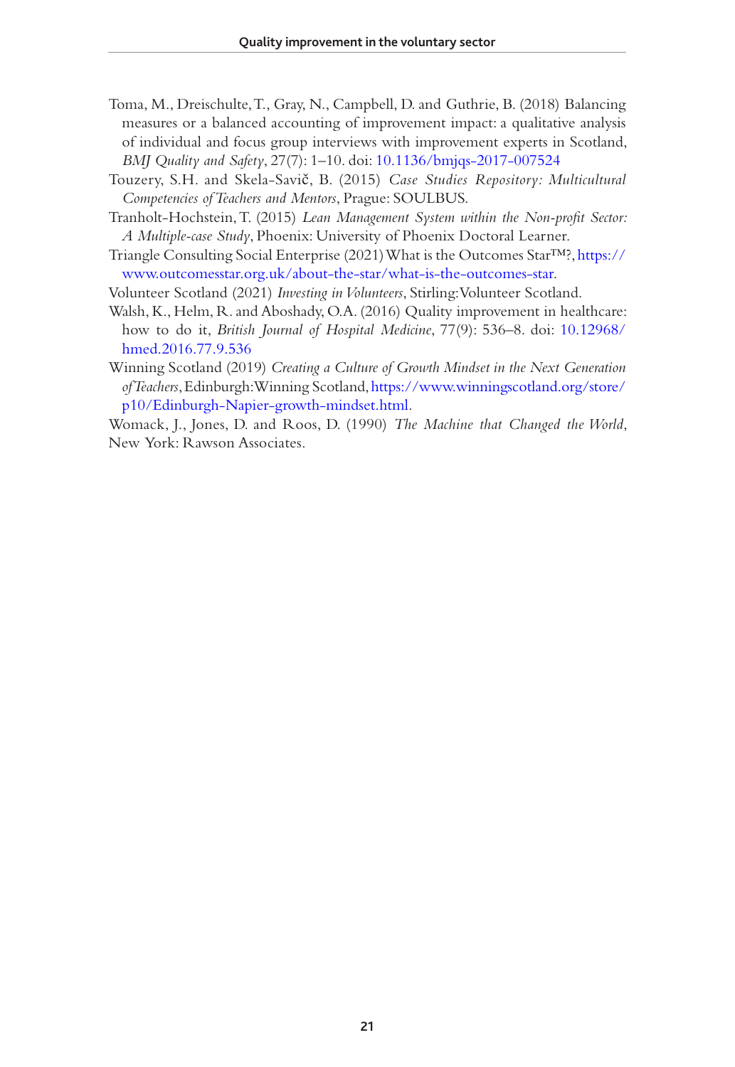- <span id="page-21-7"></span>Toma, M., Dreischulte, T., Gray, N., Campbell, D. and Guthrie, B. (2018) Balancing measures or a balanced accounting of improvement impact: a qualitative analysis of individual and focus group interviews with improvement experts in Scotland, *BMJ Quality and Safety*, 27(7): 1–10. doi: [10.1136/bmjqs-2017-007524](https://doi.org/10.1136/bmjqs-2017-007524)
- <span id="page-21-1"></span>Touzery, S.H. and Skela-Savič, B. (2015) *Case Studies Repository: Multicultural Competencies of Teachers and Mentors*, Prague: SOULBUS.
- <span id="page-21-3"></span>Tranholt-Hochstein, T. (2015) *Lean Management System within the Non-profit Sector: A Multiple-case Study*, Phoenix: University of Phoenix Doctoral Learner.
- <span id="page-21-4"></span>Triangle Consulting Social Enterprise (2021) What is the Outcomes Star™?, [https://](https://www.outcomesstar.org.uk/about-the-star/what-is-the-outcomes-star) [www.outcomesstar.org.uk/about-the-star/what-is-the-outcomes-star](https://www.outcomesstar.org.uk/about-the-star/what-is-the-outcomes-star).
- <span id="page-21-5"></span>Volunteer Scotland (2021) *Investing in Volunteers*, Stirling: Volunteer Scotland.
- <span id="page-21-6"></span>Walsh, K., Helm, R. and Aboshady, O.A. (2016) Quality improvement in healthcare: how to do it, *British Journal of Hospital Medicine*, 77(9): 536–8. doi: [10.12968/](https://doi.org/10.12968/hmed.2016.77.9.536) [hmed.2016.77.9.536](https://doi.org/10.12968/hmed.2016.77.9.536)
- <span id="page-21-2"></span>Winning Scotland (2019) *Creating a Culture of Growth Mindset in the Next Generation of Teachers*, Edinburgh: Winning Scotland, [https://www.winningscotland.org/store/](https://www.winningscotland.org/store/p10/Edinburgh-Napier-growth-mindset.html) [p10/Edinburgh-Napier-growth-mindset.html](https://www.winningscotland.org/store/p10/Edinburgh-Napier-growth-mindset.html).

<span id="page-21-0"></span>Womack, J., Jones, D. and Roos, D. (1990) *The Machine that Changed the World*, New York: Rawson Associates.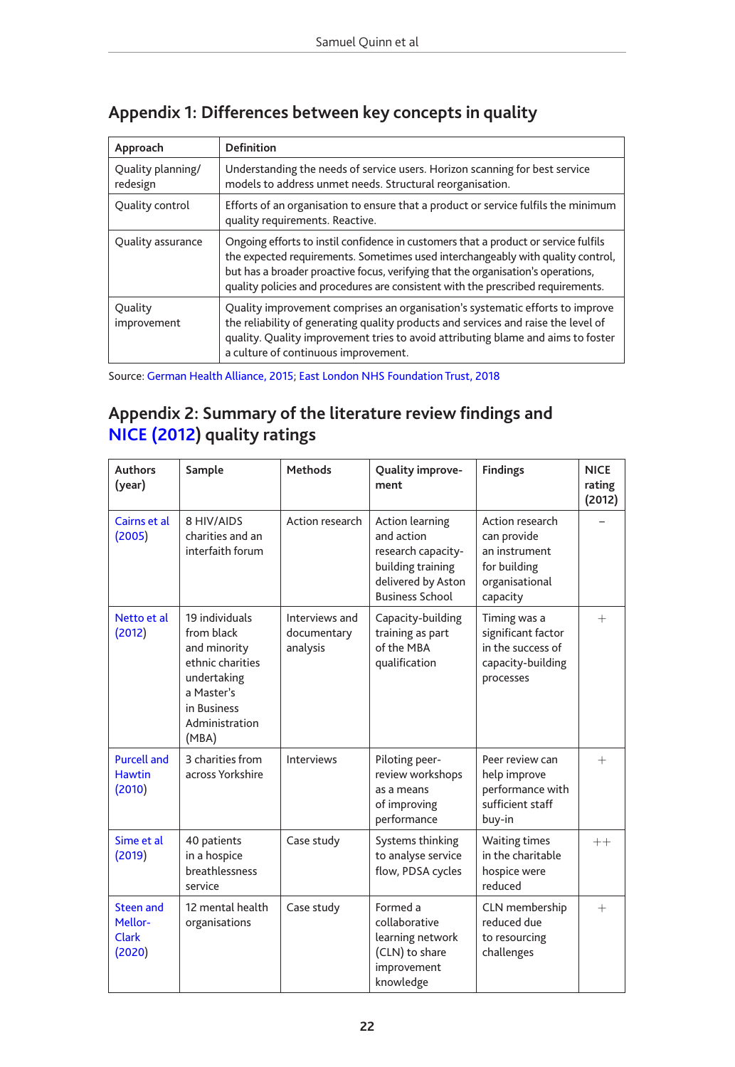| Approach                      | <b>Definition</b>                                                                                                                                                                                                                                                                                                                              |
|-------------------------------|------------------------------------------------------------------------------------------------------------------------------------------------------------------------------------------------------------------------------------------------------------------------------------------------------------------------------------------------|
| Quality planning/<br>redesign | Understanding the needs of service users. Horizon scanning for best service<br>models to address unmet needs. Structural reorganisation.                                                                                                                                                                                                       |
| Quality control               | Efforts of an organisation to ensure that a product or service fulfils the minimum<br>quality requirements. Reactive.                                                                                                                                                                                                                          |
| Quality assurance             | Ongoing efforts to instil confidence in customers that a product or service fulfils<br>the expected requirements. Sometimes used interchangeably with quality control,<br>but has a broader proactive focus, verifying that the organisation's operations,<br>quality policies and procedures are consistent with the prescribed requirements. |
| Ouality<br>improvement        | Quality improvement comprises an organisation's systematic efforts to improve<br>the reliability of generating quality products and services and raise the level of<br>quality. Quality improvement tries to avoid attributing blame and aims to foster<br>a culture of continuous improvement.                                                |

# <span id="page-22-0"></span>**Appendix 1: Differences between key concepts in quality**

Source: [German Health Alliance, 2015;](#page-18-15) [East London NHS Foundation Trust, 2018](#page-17-6)

# <span id="page-22-1"></span>**[Appendix 2:](#page-19-3) Summary of the literature review findings and NICE (2012) quality ratings**

| <b>Authors</b><br>(year)                       | Sample                                                                                                                                  | <b>Methods</b>                            | Quality improve-<br>ment                                                                                                        | <b>Findings</b>                                                                               | <b>NICE</b><br>rating<br>(2012) |
|------------------------------------------------|-----------------------------------------------------------------------------------------------------------------------------------------|-------------------------------------------|---------------------------------------------------------------------------------------------------------------------------------|-----------------------------------------------------------------------------------------------|---------------------------------|
| Cairns et al<br>(2005)                         | 8 HIV/AIDS<br>charities and an<br>interfaith forum                                                                                      | Action research                           | <b>Action learning</b><br>and action<br>research capacity-<br>building training<br>delivered by Aston<br><b>Business School</b> | Action research<br>can provide<br>an instrument<br>for building<br>organisational<br>capacity |                                 |
| Netto et al<br>(2012)                          | 19 individuals<br>from black<br>and minority<br>ethnic charities<br>undertaking<br>a Master's<br>in Business<br>Administration<br>(MBA) | Interviews and<br>documentary<br>analysis | Capacity-building<br>training as part<br>of the MBA<br>qualification                                                            | Timing was a<br>significant factor<br>in the success of<br>capacity-building<br>processes     | $+$                             |
| <b>Purcell and</b><br><b>Hawtin</b><br>(2010)  | 3 charities from<br>across Yorkshire                                                                                                    | Interviews                                | Piloting peer-<br>review workshops<br>as a means<br>of improving<br>performance                                                 | Peer review can<br>help improve<br>performance with<br>sufficient staff<br>buy-in             | $+$                             |
| Sime et al<br>(2019)                           | 40 patients<br>in a hospice<br>breathlessness<br>service                                                                                | Case study                                | Systems thinking<br>to analyse service<br>flow, PDSA cycles                                                                     | <b>Waiting times</b><br>in the charitable<br>hospice were<br>reduced                          | $++$                            |
| Steen and<br>Mellor-<br><b>Clark</b><br>(2020) | 12 mental health<br>organisations                                                                                                       | Case study                                | Formed a<br>collaborative<br>learning network<br>(CLN) to share<br>improvement<br>knowledge                                     | CLN membership<br>reduced due<br>to resourcing<br>challenges                                  | $+$                             |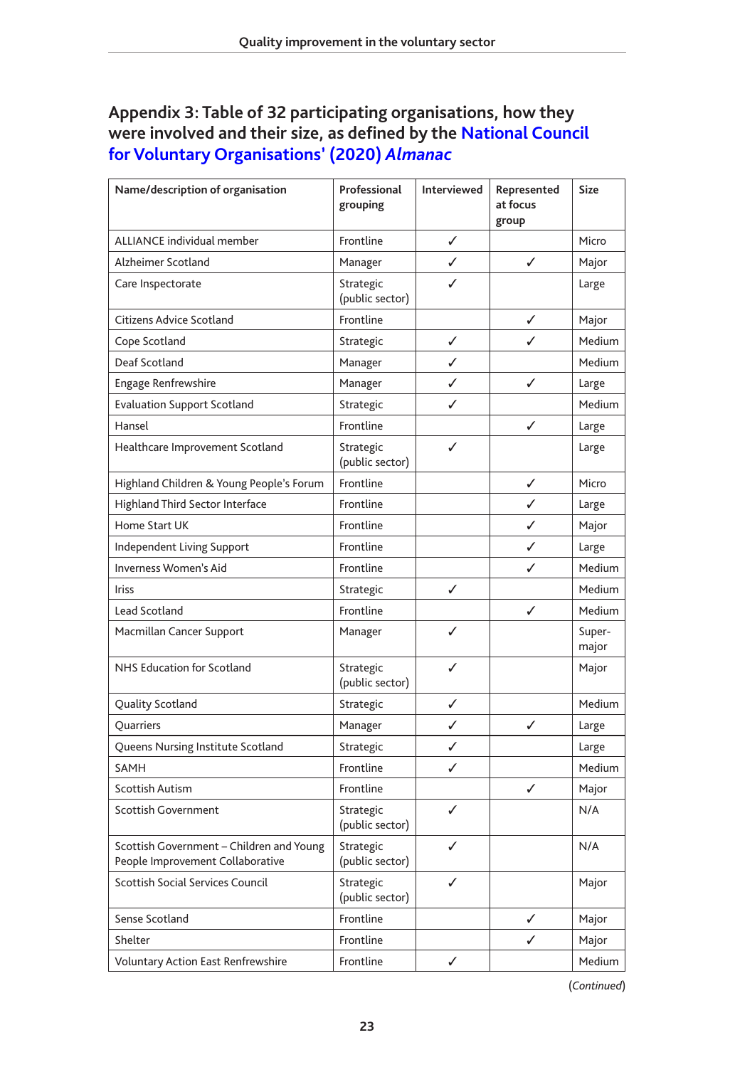# <span id="page-23-0"></span>**Appendix 3: Table of 32 participating organisations, how they [were involved and their size, as defined by the National Council](#page-18-16)  forVoluntary Organisations' (2020)** *Almanac*

| Name/description of organisation                                             | Professional<br>grouping     | Interviewed | Represented<br>at focus<br>group | <b>Size</b>     |
|------------------------------------------------------------------------------|------------------------------|-------------|----------------------------------|-----------------|
| <b>ALLIANCE individual member</b>                                            | Frontline                    | ✓           |                                  | Micro           |
| Alzheimer Scotland                                                           | Manager                      | ✓           | ✓                                | Major           |
| Care Inspectorate                                                            | Strategic<br>(public sector) | ✓           |                                  | Large           |
| Citizens Advice Scotland                                                     | Frontline                    |             | ✓                                | Major           |
| Cope Scotland                                                                | Strategic                    | ✓           |                                  | Medium          |
| Deaf Scotland                                                                | Manager                      | ✓           |                                  | Medium          |
| <b>Engage Renfrewshire</b>                                                   | Manager                      | ✓           | ✓                                | Large           |
| <b>Evaluation Support Scotland</b>                                           | Strategic                    | ✓           |                                  | Medium          |
| Hansel                                                                       | Frontline                    |             | ✓                                | Large           |
| Healthcare Improvement Scotland                                              | Strategic<br>(public sector) | ✓           |                                  | Large           |
| Highland Children & Young People's Forum                                     | Frontline                    |             | ✓                                | Micro           |
| <b>Highland Third Sector Interface</b>                                       | Frontline                    |             | ✓                                | Large           |
| Home Start UK                                                                | Frontline                    |             | ✓                                | Major           |
| Independent Living Support                                                   | Frontline                    |             | ✓                                | Large           |
| Inverness Women's Aid                                                        | Frontline                    |             | ✓                                | Medium          |
| <b>Iriss</b>                                                                 | Strategic                    | ✓           |                                  | Medium          |
| Lead Scotland                                                                | Frontline                    |             | ✓                                | Medium          |
| Macmillan Cancer Support                                                     | Manager                      | ✓           |                                  | Super-<br>major |
| NHS Education for Scotland                                                   | Strategic<br>(public sector) | ✓           |                                  | Major           |
| Quality Scotland                                                             | Strategic                    | ✓           |                                  | Medium          |
| Quarriers                                                                    | Manager                      | ✓           | ✓                                | Large           |
| Queens Nursing Institute Scotland                                            | Strategic                    | ✓           |                                  | Large           |
| SAMH                                                                         | Frontline                    | ✓           |                                  | Medium          |
| <b>Scottish Autism</b>                                                       | Frontline                    |             | ✓                                | Major           |
| <b>Scottish Government</b>                                                   | Strategic<br>(public sector) | ✓           |                                  | N/A             |
| Scottish Government - Children and Young<br>People Improvement Collaborative | Strategic<br>(public sector) | ✓           |                                  | N/A             |
| <b>Scottish Social Services Council</b>                                      | Strategic<br>(public sector) | ✓           |                                  | Major           |
| Sense Scotland                                                               | Frontline                    |             | ✓                                | Major           |
| Shelter                                                                      | Frontline                    |             | ✓                                | Major           |
| Voluntary Action East Renfrewshire                                           | Frontline                    | ✓           |                                  | Medium          |

(*Continued*)